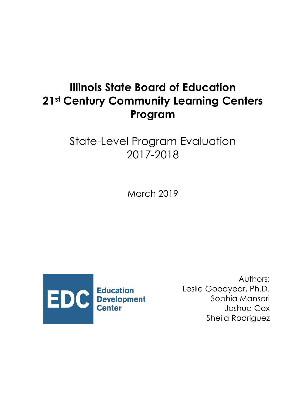# **Illinois State Board of Education 21st Century Community Learning Centers Program**

# State-Level Program Evaluation 2017-2018

March 2019



Authors: Leslie Goodyear, Ph.D. Sophia Mansori Joshua Cox Sheila Rodriguez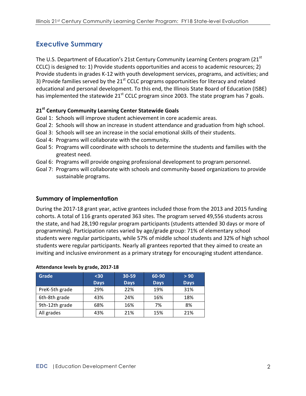# **Executive Summary**

The U.S. Department of Education's 21st Century Community Learning Centers program (21<sup>st</sup>) CCLC) is designed to: 1) Provide students opportunities and access to academic resources; 2) Provide students in grades K-12 with youth development services, programs, and activities; and 3) Provide families served by the  $21<sup>st</sup>$  CCLC programs opportunities for literacy and related educational and personal development. To this end, the Illinois State Board of Education (ISBE) has implemented the statewide  $21^{st}$  CCLC program since 2003. The state program has 7 goals.

#### **21st Century Community Learning Center Statewide Goals**

- Goal 1: Schools will improve student achievement in core academic areas.
- Goal 2: Schools will show an increase in student attendance and graduation from high school.
- Goal 3: Schools will see an increase in the social emotional skills of their students.
- Goal 4: Programs will collaborate with the community.
- Goal 5: Programs will coordinate with schools to determine the students and families with the greatest need.
- Goal 6: Programs will provide ongoing professional development to program personnel.
- Goal 7: Programs will collaborate with schools and community-based organizations to provide sustainable programs.

#### **Summary of implementation**

During the 2017-18 grant year, active grantees included those from the 2013 and 2015 funding cohorts. A total of 116 grants operated 363 sites. The program served 49,556 students across the state, and had 28,190 regular program participants (students attended 30 days or more of programming). Participation rates varied by age/grade group: 71% of elementary school students were regular participants, while 57% of middle school students and 32% of high school students were regular participants. Nearly all grantees reported that they aimed to create an inviting and inclusive environment as a primary strategy for encouraging student attendance.

| Attendance levels by grade, 2017-18 |             |             |             |             |  |  |
|-------------------------------------|-------------|-------------|-------------|-------------|--|--|
| <b>Grade</b>                        | $30$        | 30-59       | 60-90       | > 90        |  |  |
|                                     | <b>Days</b> | <b>Days</b> | <b>Days</b> | <b>Days</b> |  |  |
| PreK-5th grade                      | 29%         | 22%         | 19%         | 31%         |  |  |
| 6th-8th grade                       | 43%         | 24%         | 16%         | 18%         |  |  |
| 9th-12th grade                      | 68%         | 16%         | 7%          | 8%          |  |  |
| All grades                          | 43%         | 21%         | 15%         | 21%         |  |  |

#### **Attendance levels by grade, 2017-18**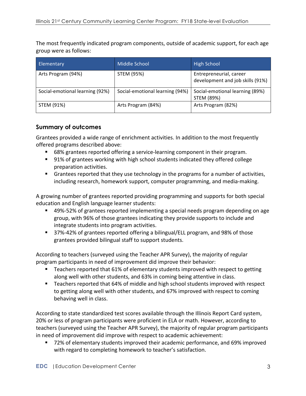The most frequently indicated program components, outside of academic support, for each age group were as follows:

| Elementary                      | <b>Middle School</b>            | <b>High School</b>                                          |
|---------------------------------|---------------------------------|-------------------------------------------------------------|
| Arts Program (94%)              | STEM (95%)                      | Entrepreneurial, career<br>development and job skills (91%) |
| Social-emotional learning (92%) | Social-emotional learning (94%) | Social-emotional learning (89%)<br>STEM (89%)               |
| STEM (91%)                      | Arts Program (84%)              | Arts Program (82%)                                          |

### **Summary of outcomes**

Grantees provided a wide range of enrichment activities. In addition to the most frequently offered programs described above:

- 68% grantees reported offering a service-learning component in their program.
- 91% of grantees working with high school students indicated they offered college preparation activities.
- Grantees reported that they use technology in the programs for a number of activities, including research, homework support, computer programming, and media-making.

A growing number of grantees reported providing programming and supports for both special education and English language learner students:

- 49%-52% of grantees reported implementing a special needs program depending on age group, with 96% of those grantees indicating they provide supports to include and integrate students into program activities.
- 37%-42% of grantees reported offering a bilingual/ELL program, and 98% of those grantees provided bilingual staff to support students.

According to teachers (surveyed using the Teacher APR Survey), the majority of regular program participants in need of improvement did improve their behavior:

- Teachers reported that 61% of elementary students improved with respect to getting along well with other students, and 63% in coming being attentive in class.
- Teachers reported that 64% of middle and high school students improved with respect to getting along well with other students, and 67% improved with respect to coming behaving well in class.

According to state standardized test scores available through the Illinois Report Card system, 20% or less of program participants were proficient in ELA or math. However, according to teachers (surveyed using the Teacher APR Survey), the majority of regular program participants in need of improvement did improve with respect to academic achievement:

72% of elementary students improved their academic performance, and 69% improved with regard to completing homework to teacher's satisfaction.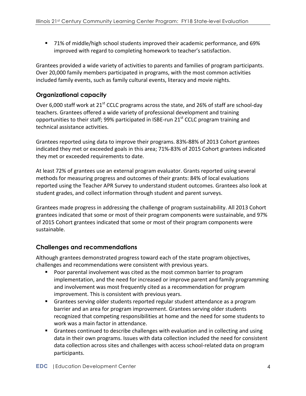■ 71% of middle/high school students improved their academic performance, and 69% improved with regard to completing homework to teacher's satisfaction.

Grantees provided a wide variety of activities to parents and families of program participants. Over 20,000 family members participated in programs, with the most common activities included family events, such as family cultural events, literacy and movie nights.

# **Organizational capacity**

Over 6,000 staff work at 21<sup>st</sup> CCLC programs across the state, and 26% of staff are school-day teachers. Grantees offered a wide variety of professional development and training opportunities to their staff; 99% participated in ISBE-run 21<sup>st</sup> CCLC program training and technical assistance activities.

Grantees reported using data to improve their programs. 83%-88% of 2013 Cohort grantees indicated they met or exceeded goals in this area; 71%-83% of 2015 Cohort grantees indicated they met or exceeded requirements to date.

At least 72% of grantees use an external program evaluator. Grants reported using several methods for measuring progress and outcomes of their grants: 84% of local evaluations reported using the Teacher APR Survey to understand student outcomes. Grantees also look at student grades, and collect information through student and parent surveys.

Grantees made progress in addressing the challenge of program sustainability. All 2013 Cohort grantees indicated that some or most of their program components were sustainable, and 97% of 2015 Cohort grantees indicated that some or most of their program components were sustainable. 

# **Challenges and recommendations**

Although grantees demonstrated progress toward each of the state program objectives, challenges and recommendations were consistent with previous years.

- Poor parental involvement was cited as the most common barrier to program implementation, and the need for increased or improve parent and family programming and involvement was most frequently cited as a recommendation for program improvement. This is consistent with previous years.
- Grantees serving older students reported regular student attendance as a program barrier and an area for program improvement. Grantees serving older students recognized that competing responsibilities at home and the need for some students to work was a main factor in attendance.
- Grantees continued to describe challenges with evaluation and in collecting and using data in their own programs. Issues with data collection included the need for consistent data collection across sites and challenges with access school-related data on program participants.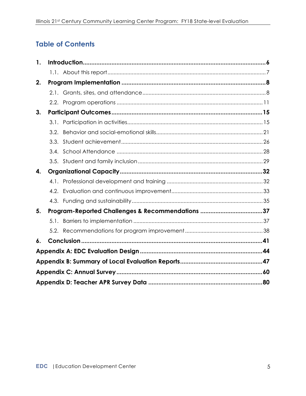# **Table of Contents**

| 1. |      |                                                  |  |
|----|------|--------------------------------------------------|--|
|    |      |                                                  |  |
| 2. |      |                                                  |  |
|    |      |                                                  |  |
|    |      |                                                  |  |
| 3. |      |                                                  |  |
|    |      |                                                  |  |
|    | 3.2. |                                                  |  |
|    | 3.3. |                                                  |  |
|    |      |                                                  |  |
|    |      |                                                  |  |
| 4. |      |                                                  |  |
|    |      |                                                  |  |
|    |      |                                                  |  |
|    |      |                                                  |  |
| 5. |      | Program-Reported Challenges & Recommendations 37 |  |
|    |      |                                                  |  |
|    |      |                                                  |  |
| 6. |      |                                                  |  |
|    |      |                                                  |  |
|    |      |                                                  |  |
|    |      |                                                  |  |
|    |      |                                                  |  |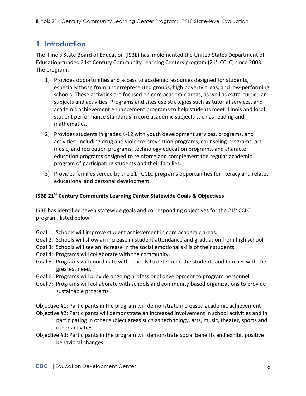# **1. Introduction**

The Illinois State Board of Education (ISBE) has implemented the United States Department of Education-funded 21st Century Community Learning Centers program (21<sup>st</sup> CCLC) since 2003. The program:

- 1) Provides opportunities and access to academic resources designed for students, especially those from underrepresented groups, high poverty areas, and low-performing schools. These activities are focused on core academic areas, as well as extra-curricular subjects and activities. Programs and sites use strategies such as tutorial services, and academic achievement enhancement programs to help students meet Illinois and local student performance standards in core academic subjects such as reading and mathematics.
- 2) Provides students in grades K-12 with youth development services, programs, and activities, including drug and violence prevention programs, counseling programs, art, music, and recreation programs, technology education programs, and character education programs designed to reinforce and complement the regular academic program of participating students and their families.
- 3) Provides families served by the  $21<sup>st</sup>$  CCLC programs opportunities for literacy and related educational and personal development.

### **ISBE 21<sup>st</sup> Century Community Learning Center Statewide Goals & Objectives**

ISBE has identified seven statewide goals and corresponding objectives for the  $21<sup>st</sup>$  CCLC program, listed below.

- Goal 1: Schools will improve student achievement in core academic areas.
- Goal 2: Schools will show an increase in student attendance and graduation from high school.
- Goal 3: Schools will see an increase in the social emotional skills of their students.
- Goal 4: Programs will collaborate with the community.
- Goal 5: Programs will coordinate with schools to determine the students and families with the greatest need.
- Goal 6: Programs will provide ongoing professional development to program personnel.
- Goal 7: Programs will collaborate with schools and community-based organizations to provide sustainable programs.

Objective #1: Participants in the program will demonstrate increased academic achievement

- Objective #2: Participants will demonstrate an increased involvement in school activities and in participating in other subject areas such as technology, arts, music, theater, sports and other activities.
- Objective #3: Participants in the program will demonstrate social benefits and exhibit positive behavioral changes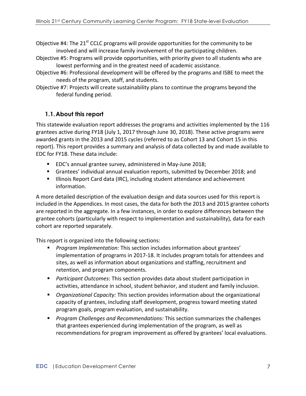Objective  $#4$ : The 21<sup>st</sup> CCLC programs will provide opportunities for the community to be involved and will increase family involvement of the participating children.

- Objective #5: Programs will provide opportunities, with priority given to all students who are lowest performing and in the greatest need of academic assistance.
- Objective #6: Professional development will be offered by the programs and ISBE to meet the needs of the program, staff, and students.
- Objective #7: Projects will create sustainability plans to continue the programs beyond the federal funding period.

# **1.1.About this report**

This statewide evaluation report addresses the programs and activities implemented by the 116 grantees active during FY18 (July 1, 2017 through June 30, 2018). These active programs were awarded grants in the 2013 and 2015 cycles (referred to as Cohort 13 and Cohort 15 in this report). This report provides a summary and analysis of data collected by and made available to EDC for FY18. These data include:

- EDC's annual grantee survey, administered in May-June 2018;
- Grantees' individual annual evaluation reports, submitted by December 2018; and
- **■** Illinois Report Card data (IRC), including student attendance and achievement information.

A more detailed description of the evaluation design and data sources used for this report is included in the Appendices. In most cases, the data for both the 2013 and 2015 grantee cohorts are reported in the aggregate. In a few instances, in order to explore differences between the grantee cohorts (particularly with respect to implementation and sustainability), data for each cohort are reported separately.

This report is organized into the following sections:

- Program Implementation: This section includes information about grantees' implementation of programs in 2017-18. It includes program totals for attendees and sites, as well as information about organizations and staffing, recruitment and retention, and program components.
- **•** *Participant Outcomes:* This section provides data about student participation in activities, attendance in school, student behavior, and student and family inclusion.
- *Organizational Capacity:* This section provides information about the organizational capacity of grantees, including staff development, progress toward meeting stated program goals, program evaluation, and sustainability.
- **•** *Program Challenges and Recommendations:* This section summarizes the challenges that grantees experienced during implementation of the program, as well as recommendations for program improvement as offered by grantees' local evaluations.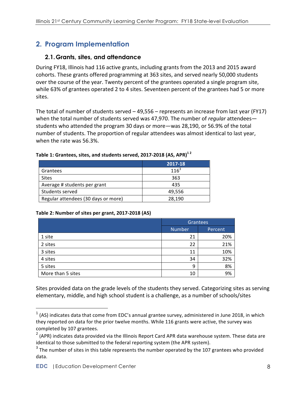# **2. Program Implementation**

## **2.1.Grants, sites, and attendance**

During FY18, Illinois had 116 active grants, including grants from the 2013 and 2015 award cohorts. These grants offered programming at 363 sites, and served nearly 50,000 students over the course of the year. Twenty percent of the grantees operated a single program site, while 63% of grantees operated 2 to 4 sites. Seventeen percent of the grantees had 5 or more sites. 

The total of number of students served  $-$  49,556 – represents an increase from last year (FY17) when the total number of students served was 47,970. The number of *regular* attendees students who attended the program 30 days or more—was 28,190, or 56.9% of the total number of students. The proportion of regular attendees was almost identical to last year, when the rate was 56.3%.

|                                     | 2017-18   |
|-------------------------------------|-----------|
| Grantees                            | $116^{3}$ |
| <b>Sites</b>                        | 363       |
| Average # students per grant        | 435       |
| Students served                     | 49,556    |
| Regular attendees (30 days or more) | 28.190    |

#### <code>Table 1: Grantees, sites, and students served, 2017-2018 (AS, APR)<sup>12</sup></code>

#### **Table 2: Number of sites per grant, 2017-2018 (AS)**

|                   | Grantees                 |     |  |
|-------------------|--------------------------|-----|--|
|                   | <b>Number</b><br>Percent |     |  |
| 1 site            | 21                       | 20% |  |
| 2 sites           | 22                       | 21% |  |
| 3 sites           | 11                       | 10% |  |
| 4 sites           | 34                       | 32% |  |
| 5 sites           | 9                        | 8%  |  |
| More than 5 sites | 10                       | 9%  |  |

Sites provided data on the grade levels of the students they served. Categorizing sites as serving elementary, middle, and high school student is a challenge, as a number of schools/sites

 

 $1$  (AS) indicates data that come from EDC's annual grantee survey, administered in June 2018, in which they reported on data for the prior twelve months. While 116 grants were active, the survey was completed by 107 grantees.

 $2$  (APR) indicates data provided via the Illinois Report Card APR data warehouse system. These data are identical to those submitted to the federal reporting system (the APR system).

 $3$  The number of sites in this table represents the number operated by the 107 grantees who provided data.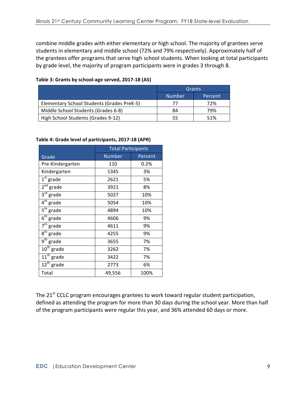combine middle grades with either elementary or high school. The majority of grantees serve students in elementary and middle school (72% and 79% respectively). Approximately half of the grantees offer programs that serve high school students. When looking at total participants by grade level, the majority of program participants were in grades 3 through 8.

#### Table 3: Grants by school-age served, 2017-18 (AS)

|                                            | Grants        |         |
|--------------------------------------------|---------------|---------|
|                                            | <b>Number</b> | Percent |
| Elementary School Students (Grades PreK-5) | 77            | 72%     |
| Middle School Students (Grades 6-8)        | 84            | 79%     |
| High School Students (Grades 9-12)         | 55            | 51%     |

#### Table 4: Grade level of participants, 2017-18 (APR)

|                                  | <b>Total Participants</b> |         |  |
|----------------------------------|---------------------------|---------|--|
| Grade                            | <b>Number</b>             | Percent |  |
| Pre-Kindergarten                 | 110                       | 0.2%    |  |
| Kindergarten                     | 1345                      | 3%      |  |
| $1st$ grade                      | 2621                      | 5%      |  |
| 2 <sup>nd</sup><br>grade         | 3921                      | 8%      |  |
| $3^{\text{rd}}$ grade            | 5027                      | 10%     |  |
| $4th$ grade                      | 5054                      | 10%     |  |
| $\overline{5^{th}}$ grade        | 4894                      | 10%     |  |
| $\overline{6}^{\text{th}}$ grade | 4606                      | 9%      |  |
| $\overline{7}^{\text{th}}$ grade | 4611                      | 9%      |  |
| $8^{\text{th}}$<br>grade         | 4255                      | 9%      |  |
| $\overline{9^{th}}$ grade        | 3655                      | 7%      |  |
| $\overline{10^{th}}$ grade       | 3262                      | 7%      |  |
| $\overline{11^{th}}$ grade       | 3422                      | 7%      |  |
| $12^{th}$ grade                  | 2773                      | 6%      |  |
| Total                            | 49,556                    | 100%    |  |

The 21<sup>st</sup> CCLC program encourages grantees to work toward regular student participation, defined as attending the program for more than 30 days during the school year. More than half of the program participants were regular this year, and 36% attended 60 days or more.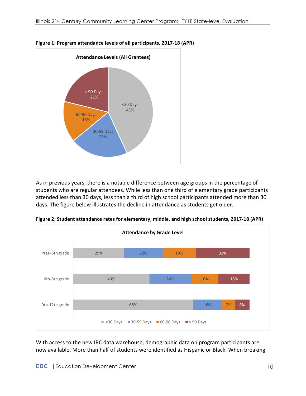

**Figure 1: Program attendance levels of all participants, 2017-18 (APR)** 

As in previous years, there is a notable difference between age groups in the percentage of students who are regular attendees. While less than one third of elementary grade participants attended less than 30 days, less than a third of high school participants attended more than 30 days. The figure below illustrates the decline in attendance as students get older.



**Figure 2: Student attendance rates for elementary, middle, and high school students, 2017-18 (APR)**

With access to the new IRC data warehouse, demographic data on program participants are now available. More than half of students were identified as Hispanic or Black. When breaking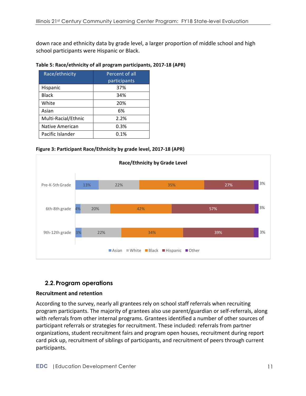down race and ethnicity data by grade level, a larger proportion of middle school and high school participants were Hispanic or Black.

#### Table 5: Race/ethnicity of all program participants, 2017-18 (APR)

| Race/ethnicity      | Percent of all |
|---------------------|----------------|
|                     | participants   |
| Hispanic            | 37%            |
| <b>Black</b>        | 34%            |
| White               | 20%            |
| Asian               | 6%             |
| Multi-Racial/Ethnic | 2.2%           |
| Native American     | 0.3%           |
| Pacific Islander    | 0.1%           |

**Figure 3: Participant Race/Ethnicity by grade level, 2017-18 (APR)** 



# **2.2.Program operations**

#### **Recruitment and retention**

According to the survey, nearly all grantees rely on school staff referrals when recruiting program participants. The majority of grantees also use parent/guardian or self-referrals, along with referrals from other internal programs. Grantees identified a number of other sources of participant referrals or strategies for recruitment. These included: referrals from partner organizations, student recruitment fairs and program open houses, recruitment during report card pick up, recruitment of siblings of participants, and recruitment of peers through current participants.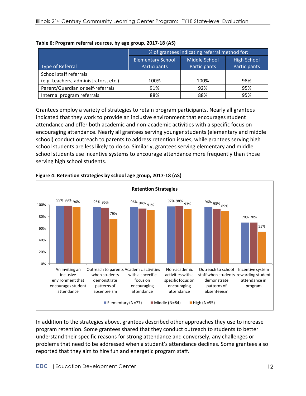|                                       | % of grantees indicating referral method for:                   |              |              |  |
|---------------------------------------|-----------------------------------------------------------------|--------------|--------------|--|
|                                       | Middle School<br><b>Elementary School</b><br><b>High School</b> |              |              |  |
| Type of Referral                      | Participants                                                    | Participants | Participants |  |
| School staff referrals                |                                                                 |              |              |  |
| (e.g. teachers, administrators, etc.) | 100%                                                            | 100%         | 98%          |  |
| Parent/Guardian or self-referrals     | 91%                                                             | 92%          | 95%          |  |
| Internal program referrals            | 88%                                                             | 88%          | 95%          |  |

#### **Table 6: Program referral sources, by age group, 2017-18 (AS)**

Grantees employ a variety of strategies to retain program participants. Nearly all grantees indicated that they work to provide an inclusive environment that encourages student attendance and offer both academic and non-academic activities with a specific focus on encouraging attendance. Nearly all grantees serving younger students (elementary and middle school) conduct outreach to parents to address retention issues, while grantees serving high school students are less likely to do so. Similarly, grantees serving elementary and middle school students use incentive systems to encourage attendance more frequently than those serving high school students.



#### **Figure 4: Retention strategies by school age group, 2017-18 (AS)**

In addition to the strategies above, grantees described other approaches they use to increase program retention. Some grantees shared that they conduct outreach to students to better understand their specific reasons for strong attendance and conversely, any challenges or problems that need to be addressed when a student's attendance declines. Some grantees also reported that they aim to hire fun and energetic program staff.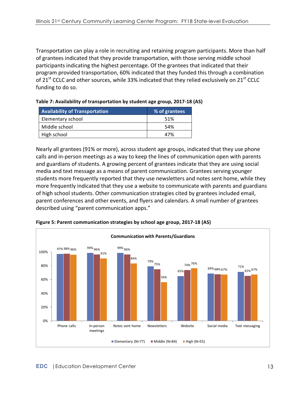Transportation can play a role in recruiting and retaining program participants. More than half of grantees indicated that they provide transportation, with those serving middle school participants indicating the highest percentage. Of the grantees that indicated that their program provided transportation, 60% indicated that they funded this through a combination of 21<sup>st</sup> CCLC and other sources, while 33% indicated that they relied exclusively on 21<sup>st</sup> CCLC funding to do so.

| <b>Availability of Transportation</b> | % of grantees |
|---------------------------------------|---------------|
| Elementary school                     | 51%           |
| Middle school                         | .54%          |
| High school                           | 47%           |

| Table 7: Availability of transportation by student age group, 2017-18 (AS) |  |  |
|----------------------------------------------------------------------------|--|--|
|----------------------------------------------------------------------------|--|--|

Nearly all grantees (91% or more), across student age groups, indicated that they use phone calls and in-person meetings as a way to keep the lines of communication open with parents and guardians of students. A growing percent of grantees indicate that they are using social media and text message as a means of parent communication. Grantees serving younger students more frequently reported that they use newsletters and notes sent home, while they more frequently indicated that they use a website to communicate with parents and guardians of high school students. Other communication strategies cited by grantees included email, parent conferences and other events, and flyers and calendars. A small number of grantees described using "parent communication apps."



**Figure 5: Parent communication strategies by school age group, 2017-18 (AS)**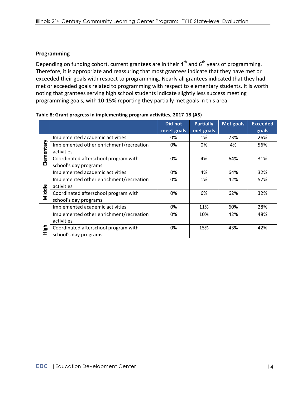#### **Programming**

Depending on funding cohort, current grantees are in their  $4^{th}$  and  $6^{th}$  years of programming. Therefore, it is appropriate and reassuring that most grantees indicate that they have met or exceeded their goals with respect to programming. Nearly all grantees indicated that they had met or exceeded goals related to programming with respect to elementary students. It is worth noting that grantees serving high school students indicate slightly less success meeting programming goals, with 10-15% reporting they partially met goals in this area.

|            |                                         | Did not    | <b>Partially</b> | Met goals | <b>Exceeded</b> |
|------------|-----------------------------------------|------------|------------------|-----------|-----------------|
|            |                                         | meet goals | met goals        |           | goals           |
|            | Implemented academic activities         | 0%         | 1%               | 73%       | 26%             |
| Elementary | Implemented other enrichment/recreation | 0%         | 0%               | 4%        | 56%             |
|            | activities                              |            |                  |           |                 |
|            | Coordinated afterschool program with    | 0%         | 4%               | 64%       | 31%             |
|            | school's day programs                   |            |                  |           |                 |
|            | Implemented academic activities         | 0%         | 4%               | 64%       | 32%             |
|            | Implemented other enrichment/recreation | 0%         | 1%               | 42%       | 57%             |
|            | activities                              |            |                  |           |                 |
| Middle     | Coordinated afterschool program with    | 0%         | 6%               | 62%       | 32%             |
|            | school's day programs                   |            |                  |           |                 |
|            | Implemented academic activities         | 0%         | 11%              | 60%       | 28%             |
|            | Implemented other enrichment/recreation | 0%         | 10%              | 42%       | 48%             |
|            | activities                              |            |                  |           |                 |
| High       | Coordinated afterschool program with    | 0%         | 15%              | 43%       | 42%             |
|            | school's day programs                   |            |                  |           |                 |

Table 8: Grant progress in implementing program activities, 2017-18 (AS)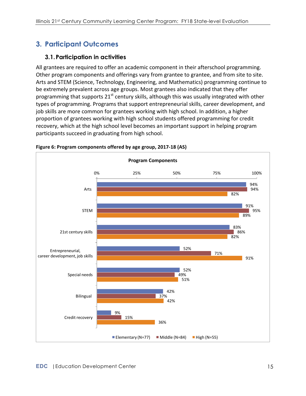# **3. Participant Outcomes**

# **3.1.Participation in activities**

All grantees are required to offer an academic component in their afterschool programming. Other program components and offerings vary from grantee to grantee, and from site to site. Arts and STEM (Science, Technology, Engineering, and Mathematics) programming continue to be extremely prevalent across age groups. Most grantees also indicated that they offer programming that supports  $21^{st}$  century skills, although this was usually integrated with other types of programming. Programs that support entrepreneurial skills, career development, and job skills are more common for grantees working with high school. In addition, a higher proportion of grantees working with high school students offered programming for credit recovery, which at the high school level becomes an important support in helping program participants succeed in graduating from high school.



**Figure 6: Program components offered by age group, 2017-18 (AS)**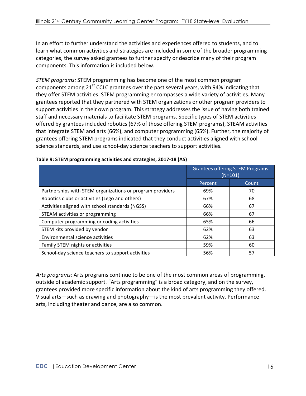In an effort to further understand the activities and experiences offered to students, and to learn what common activities and strategies are included in some of the broader programming categories, the survey asked grantees to further specify or describe many of their program components. This information is included below.

*STEM programs:* STEM programming has become one of the most common program components among  $21^{st}$  CCLC grantees over the past several years, with 94% indicating that they offer STEM activities. STEM programming encompasses a wide variety of activities. Many grantees reported that they partnered with STEM organizations or other program providers to support activities in their own program. This strategy addresses the issue of having both trained staff and necessary materials to facilitate STEM programs. Specific types of STEM activities offered by grantees included robotics (67% of those offering STEM programs), STEAM activities that integrate STEM and arts (66%), and computer programming (65%). Further, the majority of grantees offering STEM programs indicated that they conduct activities aligned with school science standards, and use school-day science teachers to support activities.

|                                                           | <b>Grantees offering STEM Programs</b><br>$(N=101)$ |       |
|-----------------------------------------------------------|-----------------------------------------------------|-------|
|                                                           | Percent                                             | Count |
| Partnerships with STEM organizations or program providers | 69%                                                 | 70    |
| Robotics clubs or activities (Lego and others)            | 67%                                                 | 68    |
| Activities aligned with school standards (NGSS)           | 66%                                                 | 67    |
| STEAM activities or programming                           | 66%                                                 | 67    |
| Computer programming or coding activities                 | 65%                                                 | 66    |
| STEM kits provided by vendor                              | 62%                                                 | 63    |
| Environmental science activities                          | 62%                                                 | 63    |
| Family STEM nights or activities                          | 59%                                                 | 60    |
| School-day science teachers to support activities         | 56%                                                 | 57    |

#### Table 9: STEM programming activities and strategies, 2017-18 (AS)

Arts programs: Arts programs continue to be one of the most common areas of programming, outside of academic support. "Arts programming" is a broad category, and on the survey, grantees provided more specific information about the kind of arts programming they offered. Visual arts—such as drawing and photography—is the most prevalent activity. Performance arts, including theater and dance, are also common.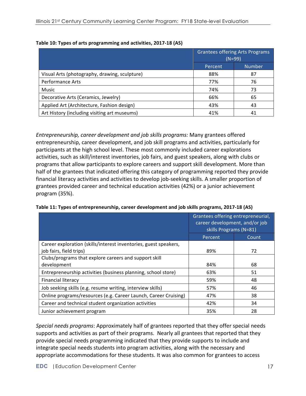|                                               |         | <b>Grantees offering Arts Programs</b><br>$(N=99)$ |
|-----------------------------------------------|---------|----------------------------------------------------|
|                                               | Percent | <b>Number</b>                                      |
| Visual Arts (photography, drawing, sculpture) | 88%     | 87                                                 |
| <b>Performance Arts</b>                       | 77%     | 76                                                 |
| <b>Music</b>                                  | 74%     | 73                                                 |
| Decorative Arts (Ceramics, Jewelry)           | 66%     | 65                                                 |
| Applied Art (Architecture, Fashion design)    | 43%     | 43                                                 |
| Art History (including visiting art museums)  | 41%     | 41                                                 |

|  | Table 10: Types of arts programming and activities, 2017-18 (AS) |  |  |
|--|------------------------------------------------------------------|--|--|
|  |                                                                  |  |  |

*Entrepreneurship, career development and job skills programs:* Many grantees offered entrepreneurship, career development, and job skill programs and activities, particularly for participants at the high school level. These most commonly included career explorations activities, such as skill/interest inventories, job fairs, and guest speakers, along with clubs or programs that allow participants to explore careers and support skill development. More than half of the grantees that indicated offering this category of programming reported they provide financial literacy activities and activities to develop job-seeking skills. A smaller proportion of grantees provided career and technical education activities (42%) or a junior achievement program (35%). 

|                                                                  | Grantees offering entrepreneurial,<br>career development, and/or job<br>skills Programs (N=81) |       |
|------------------------------------------------------------------|------------------------------------------------------------------------------------------------|-------|
|                                                                  | Percent                                                                                        | Count |
| Career exploration (skills/interest inventories, guest speakers, |                                                                                                |       |
| job fairs, field trips)                                          | 89%                                                                                            | 72    |
| Clubs/programs that explore careers and support skill            |                                                                                                |       |
| development                                                      | 84%                                                                                            | 68    |
| Entrepreneurship activities (business planning, school store)    | 63%                                                                                            | 51    |
| <b>Financial literacy</b>                                        | 59%                                                                                            | 48    |
| Job seeking skills (e.g. resume writing, interview skills)       | 57%                                                                                            | 46    |
| Online programs/resources (e.g. Career Launch, Career Cruising)  | 47%                                                                                            | 38    |
| Career and technical student organization activities             | 42%                                                                                            | 34    |
| Junior achievement program                                       | 35%                                                                                            | 28    |

**Table 11: Types of entrepreneurship, career development and job skills programs, 2017-18 (AS)** 

*Special needs programs:* Approximately half of grantees reported that they offer special needs supports and activities as part of their programs. Nearly all grantees that reported that they provide special needs programming indicated that they provide supports to include and integrate special needs students into program activities, along with the necessary and appropriate accommodations for these students. It was also common for grantees to access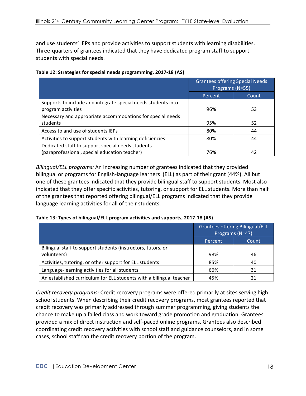and use students' IEPs and provide activities to support students with learning disabilities. Three-quarters of grantees indicated that they have dedicated program staff to support students with special needs.

| Table 12: Strategies for special needs programming, 2017-18 (AS) |  |  |  |
|------------------------------------------------------------------|--|--|--|
|                                                                  |  |  |  |

|                                                               | <b>Grantees offering Special Needs</b><br>Programs (N=55) |       |
|---------------------------------------------------------------|-----------------------------------------------------------|-------|
|                                                               | Percent                                                   | Count |
| Supports to include and integrate special needs students into |                                                           |       |
| program activities                                            | 96%                                                       | 53    |
| Necessary and appropriate accommodations for special needs    |                                                           |       |
| students                                                      | 95%                                                       | 52    |
| Access to and use of students IEPs                            | 80%                                                       | 44    |
| Activities to support students with learning deficiencies     | 80%                                                       | 44    |
| Dedicated staff to support special needs students             |                                                           |       |
| (paraprofessional, special education teacher)                 | 76%                                                       | 42    |

*Bilingual/ELL programs:* An increasing number of grantees indicated that they provided bilingual or programs for English-language learners (ELL) as part of their grant (44%). All but one of these grantees indicated that they provide bilingual staff to support students. Most also indicated that they offer specific activities, tutoring, or support for ELL students. More than half of the grantees that reported offering bilingual/ELL programs indicated that they provide language learning activities for all of their students.

| Table 13: Types of bilingual/ELL program activities and supports, 2017-18 (AS) |  |  |
|--------------------------------------------------------------------------------|--|--|
|--------------------------------------------------------------------------------|--|--|

|                                                                     | <b>Grantees offering Bilingual/ELL</b><br>Programs (N=47) |       |
|---------------------------------------------------------------------|-----------------------------------------------------------|-------|
|                                                                     | Percent                                                   | Count |
| Bilingual staff to support students (instructors, tutors, or        |                                                           |       |
| volunteers)                                                         | 98%                                                       | 46    |
| Activities, tutoring, or other support for ELL students             | 85%                                                       | 40    |
| Language-learning activities for all students                       | 66%                                                       | 31    |
| An established curriculum for ELL students with a bilingual teacher | 45%                                                       | 21    |

*Credit recovery programs:* Credit recovery programs were offered primarily at sites serving high school students. When describing their credit recovery programs, most grantees reported that credit recovery was primarily addressed through summer programming, giving students the chance to make up a failed class and work toward grade promotion and graduation. Grantees provided a mix of direct instruction and self-paced online programs. Grantees also described coordinating credit recovery activities with school staff and guidance counselors, and in some cases, school staff ran the credit recovery portion of the program.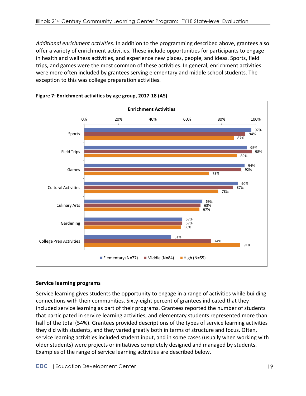*Additional enrichment activities:* In addition to the programming described above, grantees also offer a variety of enrichment activities. These include opportunities for participants to engage in health and wellness activities, and experience new places, people, and ideas. Sports, field trips, and games were the most common of these activities. In general, enrichment activities were more often included by grantees serving elementary and middle school students. The exception to this was college preparation activities.



**Figure 7: Enrichment activities by age group, 2017-18 (AS)** 

#### **Service learning programs**

Service learning gives students the opportunity to engage in a range of activities while building connections with their communities. Sixty-eight percent of grantees indicated that they included service learning as part of their programs. Grantees reported the number of students that participated in service learning activities, and elementary students represented more than half of the total (54%). Grantees provided descriptions of the types of service learning activities they did with students, and they varied greatly both in terms of structure and focus. Often, service learning activities included student input, and in some cases (usually when working with older students) were projects or initiatives completely designed and managed by students. Examples of the range of service learning activities are described below.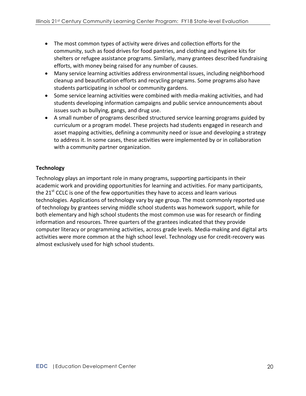- The most common types of activity were drives and collection efforts for the community, such as food drives for food pantries, and clothing and hygiene kits for shelters or refugee assistance programs. Similarly, many grantees described fundraising efforts, with money being raised for any number of causes.
- Many service learning activities address environmental issues, including neighborhood cleanup and beautification efforts and recycling programs. Some programs also have students participating in school or community gardens.
- Some service learning activities were combined with media-making activities, and had students developing information campaigns and public service announcements about issues such as bullying, gangs, and drug use.
- A small number of programs described structured service learning programs guided by curriculum or a program model. These projects had students engaged in research and asset mapping activities, defining a community need or issue and developing a strategy to address it. In some cases, these activities were implemented by or in collaboration with a community partner organization.

### **Technology**

Technology plays an important role in many programs, supporting participants in their academic work and providing opportunities for learning and activities. For many participants, the  $21<sup>st</sup>$  CCLC is one of the few opportunities they have to access and learn various technologies. Applications of technology vary by age group. The most commonly reported use of technology by grantees serving middle school students was homework support, while for both elementary and high school students the most common use was for research or finding information and resources. Three quarters of the grantees indicated that they provide computer literacy or programming activities, across grade levels. Media-making and digital arts activities were more common at the high school level. Technology use for credit-recovery was almost exclusively used for high school students.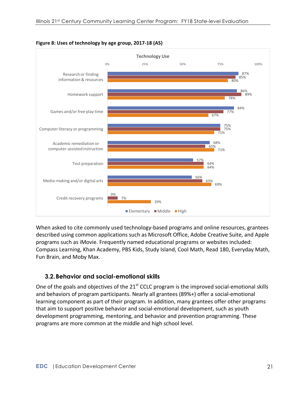

**Figure 8: Uses of technology by age group, 2017-18 (AS)** 

When asked to cite commonly used technology-based programs and online resources, grantees described using common applications such as Microsoft Office, Adobe Creative Suite, and Apple programs such as iMovie. Frequently named educational programs or websites included: Compass Learning, Khan Academy, PBS Kids, Study Island, Cool Math, Read 180, Everyday Math, Fun Brain, and Moby Max.

# **3.2.Behavior and social-emotional skills**

One of the goals and objectives of the  $21<sup>st</sup>$  CCLC program is the improved social-emotional skills and behaviors of program participants. Nearly all grantees (89%+) offer a social-emotional learning component as part of their program. In addition, many grantees offer other programs that aim to support positive behavior and social-emotional development, such as youth development programming, mentoring, and behavior and prevention programming. These programs are more common at the middle and high school level.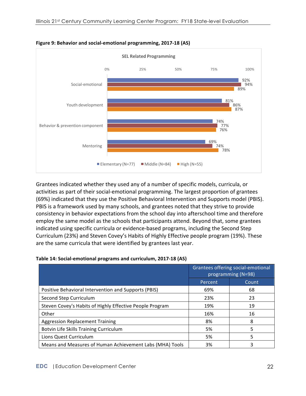

**Figure 9: Behavior and social-emotional programming, 2017-18 (AS)** 

Grantees indicated whether they used any of a number of specific models, curricula, or activities as part of their social-emotional programming. The largest proportion of grantees (69%) indicated that they use the Positive Behavioral Intervention and Supports model (PBIS). PBIS is a framework used by many schools, and grantees noted that they strive to provide consistency in behavior expectations from the school day into afterschool time and therefore employ the same model as the schools that participants attend. Beyond that, some grantees indicated using specific curricula or evidence-based programs, including the Second Step Curriculum (23%) and Steven Covey's Habits of Highly Effective people program (19%). These are the same curricula that were identified by grantees last year.

|                                                          | Grantees offering social-emotional<br>programming (N=98) |       |
|----------------------------------------------------------|----------------------------------------------------------|-------|
|                                                          | Percent                                                  | Count |
| Positive Behavioral Intervention and Supports (PBIS)     | 69%                                                      | 68    |
| Second Step Curriculum                                   | 23%                                                      | 23    |
| Steven Covey's Habits of Highly Effective People Program | 19%                                                      | 19    |
| Other                                                    | 16%                                                      | 16    |
| <b>Aggression Replacement Training</b>                   | 8%                                                       | 8     |
| Botvin Life Skills Training Curriculum                   | 5%                                                       | 5     |
| Lions Quest Curriculum                                   | 5%                                                       | 5     |
| Means and Measures of Human Achievement Labs (MHA) Tools | 3%                                                       | 3     |

| Table 14: Social-emotional programs and curriculum, 2017-18 (AS) |  |  |
|------------------------------------------------------------------|--|--|
|                                                                  |  |  |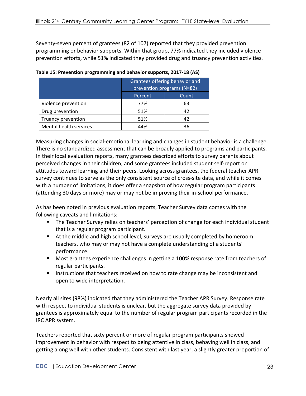Seventy-seven percent of grantees (82 of 107) reported that they provided prevention programming or behavior supports. Within that group, 77% indicated they included violence prevention efforts, while 51% indicated they provided drug and truancy prevention activities.

|                        | Grantees offering behavior and<br>prevention programs (N=82) |    |  |
|------------------------|--------------------------------------------------------------|----|--|
|                        | Percent<br>Count                                             |    |  |
| Violence prevention    | 77%                                                          | 63 |  |
| Drug prevention        | 51%                                                          | 42 |  |
| Truancy prevention     | 51%                                                          | 42 |  |
| Mental health services | 44%                                                          | 36 |  |

**Table 15: Prevention programming and behavior supports, 2017-18 (AS)** 

Measuring changes in social-emotional learning and changes in student behavior is a challenge. There is no standardized assessment that can be broadly applied to programs and participants. In their local evaluation reports, many grantees described efforts to survey parents about perceived changes in their children, and some grantees included student self-report on attitudes toward learning and their peers. Looking across grantees, the federal teacher APR survey continues to serve as the only consistent source of cross-site data, and while it comes with a number of limitations, it does offer a snapshot of how regular program participants (attending 30 days or more) may or may not be improving their in-school performance.

As has been noted in previous evaluation reports, Teacher Survey data comes with the following caveats and limitations:

- The Teacher Survey relies on teachers' perception of change for each individual student that is a regular program participant.
- At the middle and high school level, surveys are usually completed by homeroom teachers, who may or may not have a complete understanding of a students' performance.
- Most grantees experience challenges in getting a 100% response rate from teachers of regular participants.
- Instructions that teachers received on how to rate change may be inconsistent and open to wide interpretation.

Nearly all sites (98%) indicated that they administered the Teacher APR Survey. Response rate with respect to individual students is unclear, but the aggregate survey data provided by grantees is approximately equal to the number of regular program participants recorded in the IRC APR system. 

Teachers reported that sixty percent or more of regular program participants showed improvement in behavior with respect to being attentive in class, behaving well in class, and getting along well with other students. Consistent with last year, a slightly greater proportion of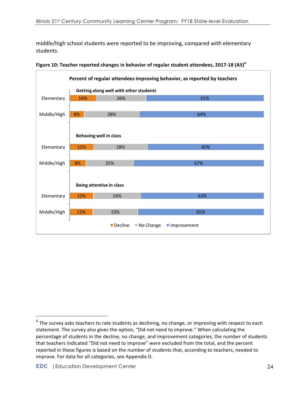middle/high school students were reported to be improving, compared with elementary students. 



**Figure 10: Teacher reported changes in behavior of regular student attendees, 2017-18 (AS)<sup>4</sup>** 

 

 $4$  The survey asks teachers to rate students as declining, no change, or improving with respect to each statement. The survey also gives the option, "Did not need to improve." When calculating the percentage of students in the decline, no change, and improvement categories, the number of students that teachers indicated "Did not need to improve" were excluded from the total, and the percent reported in these figures is based on the number of students that, according to teachers, needed to improve. For data for all categories, see Appendix D.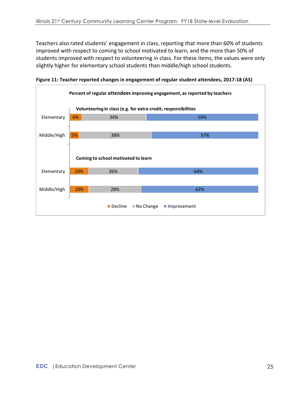Teachers also rated students' engagement in class, reporting that more than 60% of students improved with respect to coming to school motivated to learn, and the more than 50% of students improved with respect to volunteering in class. For these items, the values were only slightly higher for elementary school students than middle/high school students.



Figure 11: Teacher reported changes in engagement of regular student attendees, 2017-18 (AS)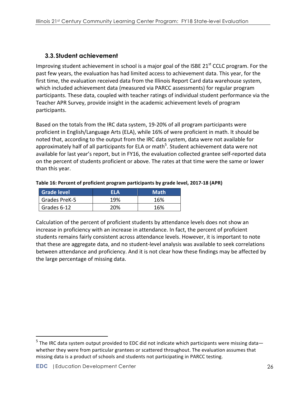# **3.3.Student achievement**

Improving student achievement in school is a major goal of the ISBE 21<sup>st</sup> CCLC program. For the past few years, the evaluation has had limited access to achievement data. This year, for the first time, the evaluation received data from the Illinois Report Card data warehouse system, which included achievement data (measured via PARCC assessments) for regular program participants. These data, coupled with teacher ratings of individual student performance via the Teacher APR Survey, provide insight in the academic achievement levels of program participants. 

Based on the totals from the IRC data system, 19-20% of all program participants were proficient in English/Language Arts (ELA), while 16% of were proficient in math. It should be noted that, according to the output from the IRC data system, data were not available for approximately half of all participants for ELA or math<sup>5</sup>. Student achievement data were not available for last year's report, but in FY16, the evaluation collected grantee self-reported data on the percent of students proficient or above. The rates at that time were the same or lower than this year.

| <b>Grade level</b> | FI A | <b>Math</b> |
|--------------------|------|-------------|
| Grades PreK-5      | 19%  | 16%         |
| Grades 6-12        | 20%  | 16%         |

#### Table 16: Percent of proficient program participants by grade level, 2017-18 (APR)

Calculation of the percent of proficient students by attendance levels does not show an increase in proficiency with an increase in attendance. In fact, the percent of proficient students remains fairly consistent across attendance levels. However, it is important to note that these are aggregate data, and no student-level analysis was available to seek correlations between attendance and proficiency. And it is not clear how these findings may be affected by the large percentage of missing data.

 

 $5$  The IRC data system output provided to EDC did not indicate which participants were missing data whether they were from particular grantees or scattered throughout. The evaluation assumes that missing data is a product of schools and students not participating in PARCC testing.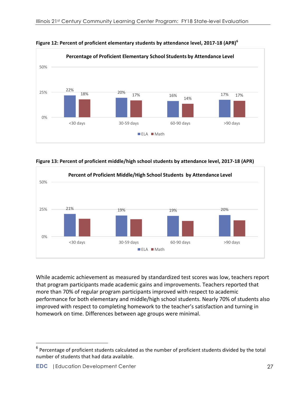

**Figure 12: Percent of proficient elementary students by attendance level, 2017-18 (APR)<sup>6</sup>** 

Figure 13: Percent of proficient middle/high school students by attendance level, 2017-18 (APR)



While academic achievement as measured by standardized test scores was low, teachers report that program participants made academic gains and improvements. Teachers reported that more than 70% of regular program participants improved with respect to academic performance for both elementary and middle/high school students. Nearly 70% of students also improved with respect to completing homework to the teacher's satisfaction and turning in homework on time. Differences between age groups were minimal.

 

 $6$  Percentage of proficient students calculated as the number of proficient students divided by the total number of students that had data available.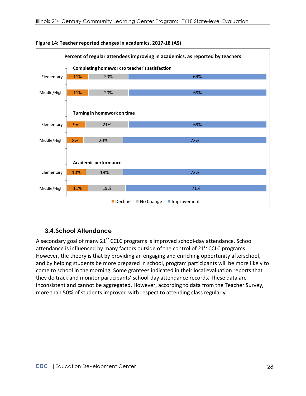



# **3.4.School Attendance**

A secondary goal of many  $21^{st}$  CCLC programs is improved school-day attendance. School attendance is influenced by many factors outside of the control of  $21<sup>st</sup>$  CCLC programs. However, the theory is that by providing an engaging and enriching opportunity afterschool, and by helping students be more prepared in school, program participants will be more likely to come to school in the morning. Some grantees indicated in their local evaluation reports that they do track and monitor participants' school-day attendance records. These data are inconsistent and cannot be aggregated. However, according to data from the Teacher Survey, more than 50% of students improved with respect to attending class regularly.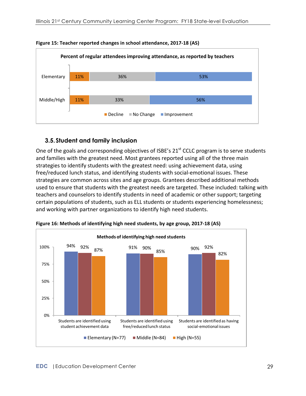

#### **Figure 15: Teacher reported changes in school attendance, 2017-18 (AS)**

### **3.5.Student and family inclusion**

One of the goals and corresponding objectives of ISBE's  $21<sup>st</sup>$  CCLC program is to serve students and families with the greatest need. Most grantees reported using all of the three main strategies to identify students with the greatest need: using achievement data, using free/reduced lunch status, and identifying students with social-emotional issues. These strategies are common across sites and age groups. Grantees described additional methods used to ensure that students with the greatest needs are targeted. These included: talking with teachers and counselors to identify students in need of academic or other support; targeting certain populations of students, such as ELL students or students experiencing homelessness; and working with partner organizations to identify high need students.



Figure 16: Methods of identifying high need students, by age group, 2017-18 (AS)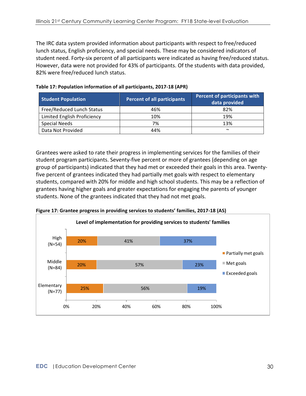The IRC data system provided information about participants with respect to free/reduced lunch status, English proficiency, and special needs. These may be considered indicators of student need. Forty-six percent of all participants were indicated as having free/reduced status. However, data were not provided for 43% of participants. Of the students with data provided, 82% were free/reduced lunch status.

| <b>Student Population</b>   | <b>Percent of all participants</b> | Percent of participants with<br>data provided |
|-----------------------------|------------------------------------|-----------------------------------------------|
| Free/Reduced Lunch Status   | 46%                                | 82%                                           |
| Limited English Proficiency | 10%                                | 19%                                           |
| <b>Special Needs</b>        | 7%                                 | 13%                                           |
| Data Not Provided           | 44%                                | $\sim$                                        |

**Table 17: Population information of all participants, 2017-18 (APR)** 

Grantees were asked to rate their progress in implementing services for the families of their student program participants. Seventy-five percent or more of grantees (depending on age group of participants) indicated that they had met or exceeded their goals in this area. Twentyfive percent of grantees indicated they had partially met goals with respect to elementary students, compared with 20% for middle and high school students. This may be a reflection of grantees having higher goals and greater expectations for engaging the parents of younger students. None of the grantees indicated that they had not met goals.



**Figure 17: Grantee progress in providing services to students' families, 2017-18 (AS)**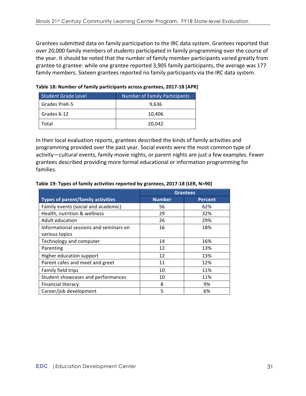Grantees submitted data on family participation to the IRC data system. Grantees reported that over 20,000 family members of students participated in family programming over the course of the year. It should be noted that the number of family member participants varied greatly from grantee to grantee: while one grantee reported 3,905 family participants, the average was 177 family members. Sixteen grantees reported no family participants via the IRC data system.

| <b>Student Grade Level</b> | <b>Number of Family Participants</b> |
|----------------------------|--------------------------------------|
| Grades PreK-5              | 9,636                                |
| Grades 6-12                | 10,406                               |
| Total                      | 20,042                               |

Table 18: Number of family participants across grantees, 2017-18 (APR)

In their local evaluation reports, grantees described the kinds of family activities and programming provided over the past year. Social events were the most common type of activity—cultural events, family movie nights, or parent nights are just a few examples. Fewer grantees described providing more formal educational or information programming for families. 

|                                          | <b>Grantees</b> |                |
|------------------------------------------|-----------------|----------------|
| <b>Types of parent/family activities</b> | <b>Number</b>   | <b>Percent</b> |
| Family events (social and academic)      | 56              | 62%            |
| Health, nutrition & wellness             | 29              | 32%            |
| Adult education                          | 26              | 29%            |
| Informational sessions and seminars on   | 16              | 18%            |
| various topics                           |                 |                |
| Technology and computer                  | 14              | 16%            |
| Parenting                                | 12              | 13%            |
| Higher education support                 | 12              | 13%            |
| Parent cafes and meet and greet          | 11              | 12%            |
| Family field trips                       | 10              | 11%            |
| Student showcases and performances       | 10              | 11%            |
| <b>Financial literacy</b>                | 8               | 9%             |
| Career/job development                   | 5               | 6%             |

#### Table 19: Types of family activities reported by grantees, 2017-18 (LER, N=90)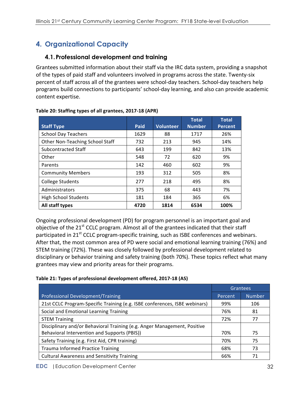# **4. Organizational Capacity**

## **4.1.Professional development and training**

Grantees submitted information about their staff via the IRC data system, providing a snapshot of the types of paid staff and volunteers involved in programs across the state. Twenty-six percent of staff across all of the grantees were school-day teachers. School-day teachers help programs build connections to participants' school-day learning, and also can provide academic content expertise.

|                                        |      |                  | <b>Total</b>  | <b>Total</b>   |
|----------------------------------------|------|------------------|---------------|----------------|
| <b>Staff Type</b>                      | Paid | <b>Volunteer</b> | <b>Number</b> | <b>Percent</b> |
| <b>School Day Teachers</b>             | 1629 | 88               | 1717          | 26%            |
| <b>Other Non-Teaching School Staff</b> | 732  | 213              | 945           | 14%            |
| Subcontracted Staff                    | 643  | 199              | 842           | 13%            |
| Other                                  | 548  | 72               | 620           | 9%             |
| Parents                                | 142  | 460              | 602           | 9%             |
| <b>Community Members</b>               | 193  | 312              | 505           | 8%             |
| <b>College Students</b>                | 277  | 218              | 495           | 8%             |
| Administrators                         | 375  | 68               | 443           | 7%             |
| <b>High School Students</b>            | 181  | 184              | 365           | 6%             |
| All staff types                        | 4720 | 1814             | 6534          | 100%           |

#### Table 20: Staffing types of all grantees, 2017-18 (APR)

Ongoing professional development (PD) for program personnel is an important goal and objective of the  $21^{st}$  CCLC program. Almost all of the grantees indicated that their staff participated in 21<sup>st</sup> CCLC program-specific training, such as ISBE conferences and webinars. After that, the most common area of PD were social and emotional learning training (76%) and STEM training (72%). These was closely followed by professional development related to disciplinary or behavior training and safety training (both 70%). These topics reflect what many grantees may view and priority areas for their programs.

#### Table 21: Types of professional development offered, 2017-18 (AS)

|                                                                            | Grantees |               |
|----------------------------------------------------------------------------|----------|---------------|
| <b>Professional Development/Training</b>                                   | Percent  | <b>Number</b> |
| 21st CCLC Program-Specific Training (e.g. ISBE conferences, ISBE webinars) | 99%      | 106           |
| Social and Emotional Learning Training                                     | 76%      | 81            |
| <b>STEM Training</b>                                                       | 72%      | 77            |
| Disciplinary and/or Behavioral Training (e.g. Anger Management, Positive   |          |               |
| Behavioral Intervention and Supports (PBIS))                               | 70%      | 75            |
| Safety Training (e.g. First Aid, CPR training)                             | 70%      | 75            |
| <b>Trauma Informed Practice Training</b>                                   | 68%      | 73            |
| <b>Cultural Awareness and Sensitivity Training</b>                         | 66%      | 71            |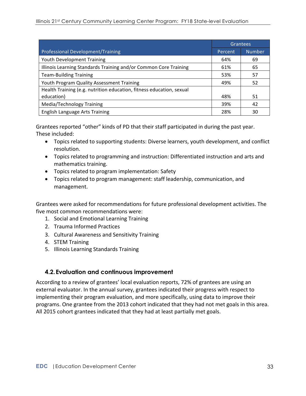|                                                                      | Grantees |               |
|----------------------------------------------------------------------|----------|---------------|
| <b>Professional Development/Training</b>                             | Percent  | <b>Number</b> |
| <b>Youth Development Training</b>                                    | 64%      | 69            |
| Illinois Learning Standards Training and/or Common Core Training     | 61%      | 65            |
| <b>Team-Building Training</b>                                        | 53%      | 57            |
| Youth Program Quality Assessment Training                            | 49%      | 52            |
| Health Training (e.g. nutrition education, fitness education, sexual |          |               |
| education)                                                           | 48%      | 51            |
| Media/Technology Training                                            | 39%      | 42            |
| English Language Arts Training                                       | 28%      | 30            |

Grantees reported "other" kinds of PD that their staff participated in during the past year. These included:

- Topics related to supporting students: Diverse learners, youth development, and conflict resolution.
- Topics related to programming and instruction: Differentiated instruction and arts and mathematics training.
- Topics related to program implementation: Safety
- Topics related to program management: staff leadership, communication, and management.

Grantees were asked for recommendations for future professional development activities. The five most common recommendations were:

- 1. Social and Emotional Learning Training
- 2. Trauma Informed Practices
- 3. Cultural Awareness and Sensitivity Training
- 4. STEM Training
- 5. Illinois Learning Standards Training

#### **4.2.Evaluation and continuous improvement**

According to a review of grantees' local evaluation reports, 72% of grantees are using an external evaluator. In the annual survey, grantees indicated their progress with respect to implementing their program evaluation, and more specifically, using data to improve their programs. One grantee from the 2013 cohort indicated that they had not met goals in this area. All 2015 cohort grantees indicated that they had at least partially met goals.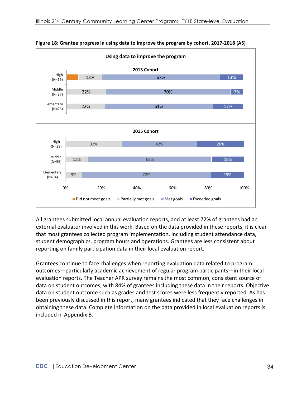

**Figure 18: Grantee progress in using data to improve the program by cohort, 2017-2018 (AS)** 

All grantees submitted local annual evaluation reports, and at least 72% of grantees had an external evaluator involved in this work. Based on the data provided in these reports, it is clear that most grantees collected program implementation, including student attendance data, student demographics, program hours and operations. Grantees are less consistent about reporting on family participation data in their local evaluation report.

Grantees continue to face challenges when reporting evaluation data related to program outcomes—particularly academic achievement of regular program participants—in their local evaluation reports. The Teacher APR survey remains the most common, consistent source of data on student outcomes, with 84% of grantees including these data in their reports. Objective data on student outcome such as grades and test scores were less frequently reported. As has been previously discussed in this report, many grantees indicated that they face challenges in obtaining these data. Complete information on the data provided in local evaluation reports is included in Appendix B.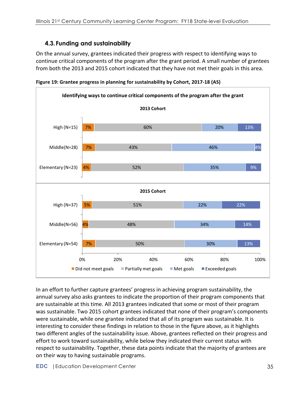# **4.3.Funding and sustainability**

On the annual survey, grantees indicated their progress with respect to identifying ways to continue critical components of the program after the grant period. A small number of grantees from both the 2013 and 2015 cohort indicated that they have not met their goals in this area.





In an effort to further capture grantees' progress in achieving program sustainability, the annual survey also asks grantees to indicate the proportion of their program components that are sustainable at this time. All 2013 grantees indicated that some or most of their program was sustainable. Two 2015 cohort grantees indicated that none of their program's components were sustainable, while one grantee indicated that all of its program was sustainable. It is interesting to consider these findings in relation to those in the figure above, as it highlights two different angles of the sustainability issue. Above, grantees reflected on their progress and effort to work toward sustainability, while below they indicated their current status with respect to sustainability. Together, these data points indicate that the majority of grantees are on their way to having sustainable programs.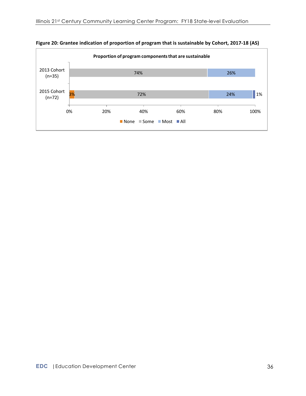

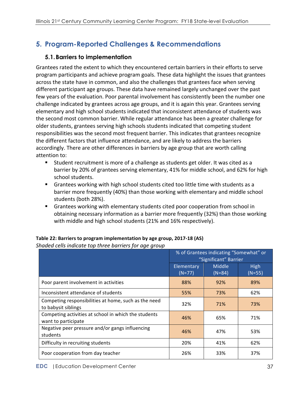# **5. Program-Reported Challenges & Recommendations**

## **5.1.Barriers to implementation**

Grantees rated the extent to which they encountered certain barriers in their efforts to serve program participants and achieve program goals. These data highlight the issues that grantees across the state have in common, and also the challenges that grantees face when serving different participant age groups. These data have remained largely unchanged over the past few years of the evaluation. Poor parental involvement has consistently been the number one challenge indicated by grantees across age groups, and it is again this year. Grantees serving elementary and high school students indicated that inconsistent attendance of students was the second most common barrier. While regular attendance has been a greater challenge for older students, grantees serving high schools students indicated that competing student responsibilities was the second most frequent barrier. This indicates that grantees recognize the different factors that influence attendance, and are likely to address the barriers accordingly. There are other differences in barriers by age group that are worth calling attention to:

- Student recruitment is more of a challenge as students get older. It was cited as a barrier by 20% of grantees serving elementary, 41% for middle school, and 62% for high school students.
- Grantees working with high school students cited too little time with students as a barrier more frequently (40%) than those working with elementary and middle school students (both 28%).
- Grantees working with elementary students cited poor cooperation from school in obtaining necessary information as a barrier more frequently (32%) than those working with middle and high school students (21% and 16% respectively).

|                                                                             | % of Grantees indicating "Somewhat" or<br>"Significant" Barrier |                    |                  |
|-----------------------------------------------------------------------------|-----------------------------------------------------------------|--------------------|------------------|
|                                                                             | Elementary<br>$(N=77)$                                          | Middle<br>$(N=84)$ | High<br>$(N=55)$ |
| Poor parent involvement in activities                                       | 88%                                                             | 92%                | 89%              |
| Inconsistent attendance of students                                         | 55%                                                             | 73%                | 62%              |
| Competing responsibilities at home, such as the need<br>to babysit siblings | 32%                                                             | 71%                | 73%              |
| Competing activities at school in which the students<br>want to participate | 46%                                                             | 65%                | 71%              |
| Negative peer pressure and/or gangs influencing<br>students                 | 46%                                                             | 47%                | 53%              |
| Difficulty in recruiting students                                           | 20%                                                             | 41%                | 62%              |
| Poor cooperation from day teacher                                           | 26%                                                             | 33%                | 37%              |

#### **Table 22: Barriers to program implementation by age group, 2017-18 (AS)** *Shaded cells indicate top three barriers for age group*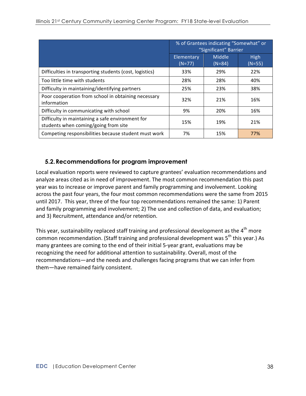|                                                                                          | % of Grantees indicating "Somewhat" or<br>"Significant" Barrier |                    |                         |
|------------------------------------------------------------------------------------------|-----------------------------------------------------------------|--------------------|-------------------------|
|                                                                                          | Elementary<br>$(N=77)$                                          | Middle<br>$(N=84)$ | <b>High</b><br>$(N=55)$ |
| Difficulties in transporting students (cost, logistics)                                  | 33%                                                             | 29%                | 22%                     |
| Too little time with students                                                            | 28%                                                             | 28%                | 40%                     |
| Difficulty in maintaining/identifying partners                                           | 25%                                                             | 23%                | 38%                     |
| Poor cooperation from school in obtaining necessary<br>information                       | 32%                                                             | 21%                | 16%                     |
| Difficulty in communicating with school                                                  | 9%                                                              | 20%                | 16%                     |
| Difficulty in maintaining a safe environment for<br>students when coming/going from site | 15%                                                             | 19%                | 21%                     |
| Competing responsibilities because student must work                                     | 7%                                                              | 15%                | 77%                     |

## **5.2.Recommendations for program improvement**

Local evaluation reports were reviewed to capture grantees' evaluation recommendations and analyze areas cited as in need of improvement. The most common recommendation this past year was to increase or improve parent and family programming and involvement. Looking across the past four years, the four most common recommendations were the same from 2015 until 2017. This year, three of the four top recommendations remained the same: 1) Parent and family programming and involvement; 2) The use and collection of data, and evaluation; and 3) Recruitment, attendance and/or retention.

This year, sustainability replaced staff training and professional development as the  $4<sup>th</sup>$  more common recommendation. (Staff training and professional development was 5<sup>th</sup> this year.) As many grantees are coming to the end of their initial 5-year grant, evaluations may be recognizing the need for additional attention to sustainability. Overall, most of the recommendations—and the needs and challenges facing programs that we can infer from them-have remained fairly consistent.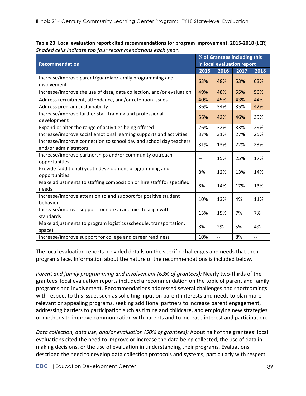| <b>Recommendation</b>                                                                      |      | % of Grantees including this |      |      |  |
|--------------------------------------------------------------------------------------------|------|------------------------------|------|------|--|
|                                                                                            |      | in local evaluation report   |      |      |  |
|                                                                                            | 2015 | 2016                         | 2017 | 2018 |  |
| Increase/improve parent/guardian/family programming and<br>involvement                     | 63%  | 48%                          | 53%  | 63%  |  |
| Increase/improve the use of data, data collection, and/or evaluation                       | 49%  | 48%                          | 55%  | 50%  |  |
| Address recruitment, attendance, and/or retention issues                                   | 40%  | 45%                          | 43%  | 44%  |  |
| Address program sustainability                                                             | 36%  | 34%                          | 35%  | 42%  |  |
| Increase/improve further staff training and professional<br>development                    | 56%  | 42%                          | 46%  | 39%  |  |
| Expand or alter the range of activities being offered                                      | 26%  | 32%                          | 33%  | 29%  |  |
| Increase/improve social emotional learning supports and activities                         | 37%  | 31%                          | 27%  | 25%  |  |
| Increase/improve connection to school day and school day teachers<br>and/or administrators | 31%  | 13%                          | 22%  | 23%  |  |
| Increase/improve partnerships and/or community outreach<br>opportunities                   |      | 15%                          | 25%  | 17%  |  |
| Provide (additional) youth development programming and<br>opportunities                    | 8%   | 12%                          | 13%  | 14%  |  |
| Make adjustments to staffing composition or hire staff for specified<br>needs              | 8%   | 14%                          | 17%  | 13%  |  |
| Increase/improve attention to and support for positive student<br>behavior                 | 10%  | 13%                          | 4%   | 11%  |  |
| Increase/improve support for core academics to align with<br>standards                     | 15%  | 15%                          | 7%   | 7%   |  |
| Make adjustments to program logistics (schedule, transportation,<br>space)                 | 8%   | 2%                           | 5%   | 4%   |  |

**Table 23: Local evaluation report cited recommendations for program improvement, 2015-2018 (LER)** *Shaded cells indicate top four recommendations each year.* 

The local evaluation reports provided details on the specific challenges and needs that their programs face. Information about the nature of the recommendations is included below.

Increase/improve support for college and career readiness  $\vert$  10%  $\vert$  -- 8%

*Parent and family programming and involvement (63% of grantees):* Nearly two-thirds of the grantees' local evaluation reports included a recommendation on the topic of parent and family programs and involvement. Recommendations addressed several challenges and shortcomings with respect to this issue, such as soliciting input on parent interests and needs to plan more relevant or appealing programs, seeking additional partners to increase parent engagement, addressing barriers to participation such as timing and childcare, and employing new strategies or methods to improve communication with parents and to increase interest and participation.

*Data collection, data use, and/or evaluation (50% of grantees):* About half of the grantees' local evaluations cited the need to improve or increase the data being collected, the use of data in making decisions, or the use of evaluation in understanding their programs. Evaluations described the need to develop data collection protocols and systems, particularly with respect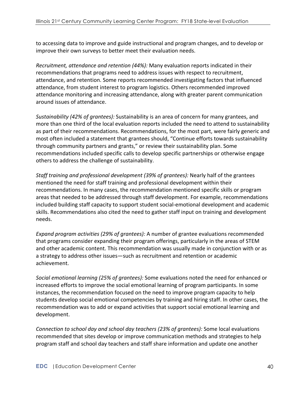to accessing data to improve and guide instructional and program changes, and to develop or improve their own surveys to better meet their evaluation needs.

*Recruitment, attendance and retention (44%):* Many evaluation reports indicated in their recommendations that programs need to address issues with respect to recruitment, attendance, and retention. Some reports recommended investigating factors that influenced attendance, from student interest to program logistics. Others recommended improved attendance monitoring and increasing attendance, along with greater parent communication around issues of attendance.

*Sustainability* (42% of grantees): Sustainability is an area of concern for many grantees, and more than one third of the local evaluation reports included the need to attend to sustainability as part of their recommendations. Recommendations, for the most part, were fairly generic and most often included a statement that grantees should, "Continue efforts towards sustainability through community partners and grants," or review their sustainability plan. Some recommendations included specific calls to develop specific partnerships or otherwise engage others to address the challenge of sustainability.

*Staff training and professional development (39% of grantees):* Nearly half of the grantees mentioned the need for staff training and professional development within their recommendations. In many cases, the recommendation mentioned specific skills or program areas that needed to be addressed through staff development. For example, recommendations included building staff capacity to support student social-emotional development and academic skills. Recommendations also cited the need to gather staff input on training and development needs.

*Expand program activities (29% of grantees):* A number of grantee evaluations recommended that programs consider expanding their program offerings, particularly in the areas of STEM and other academic content. This recommendation was usually made in conjunction with or as a strategy to address other issues—such as recruitment and retention or academic achievement. 

Social emotional learning (25% of grantees): Some evaluations noted the need for enhanced or increased efforts to improve the social emotional learning of program participants. In some instances, the recommendation focused on the need to improve program capacity to help students develop social emotional competencies by training and hiring staff. In other cases, the recommendation was to add or expand activities that support social emotional learning and development.

*Connection to school day and school day teachers (23% of grantees):* Some local evaluations recommended that sites develop or improve communication methods and strategies to help program staff and school day teachers and staff share information and update one another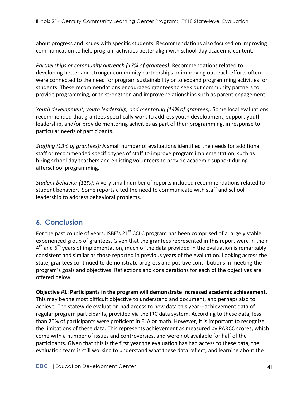about progress and issues with specific students. Recommendations also focused on improving communication to help program activities better align with school-day academic content.

*Partnerships or community outreach (17% of grantees):* Recommendations related to developing better and stronger community partnerships or improving outreach efforts often were connected to the need for program sustainability or to expand programming activities for students. These recommendations encouraged grantees to seek out community partners to provide programming, or to strengthen and improve relationships such as parent engagement.

*Youth development, youth leadership, and mentoring (14% of grantees):* Some local evaluations recommended that grantees specifically work to address youth development, support youth leadership, and/or provide mentoring activities as part of their programming, in response to particular needs of participants.

*Staffing (13% of grantees):* A small number of evaluations identified the needs for additional staff or recommended specific types of staff to improve program implementation, such as hiring school day teachers and enlisting volunteers to provide academic support during afterschool programming.

*Student behavior (11%):* A very small number of reports included recommendations related to student behavior. Some reports cited the need to communicate with staff and school leadership to address behavioral problems.

# **6. Conclusion**

For the past couple of years, ISBE's  $21^{st}$  CCLC program has been comprised of a largely stable, experienced group of grantees. Given that the grantees represented in this report were in their  $4<sup>th</sup>$  and  $6<sup>th</sup>$  years of implementation, much of the data provided in the evaluation is remarkably consistent and similar as those reported in previous years of the evaluation. Looking across the state, grantees continued to demonstrate progress and positive contributions in meeting the program's goals and objectives. Reflections and considerations for each of the objectives are offered below. 

**Objective #1: Participants in the program will demonstrate increased academic achievement.** This may be the most difficult objective to understand and document, and perhaps also to achieve. The statewide evaluation had access to new data this year—achievement data of regular program participants, provided via the IRC data system. According to these data, less than 20% of participants were proficient in ELA or math. However, it is important to recognize the limitations of these data. This represents achievement as measured by PARCC scores, which come with a number of issues and controversies, and were not available for half of the participants. Given that this is the first year the evaluation has had access to these data, the evaluation team is still working to understand what these data reflect, and learning about the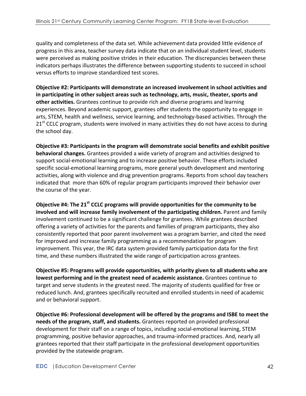quality and completeness of the data set. While achievement data provided little evidence of progress in this area, teacher survey data indicate that on an individual student level, students were perceived as making positive strides in their education. The discrepancies between these indicators perhaps illustrates the difference between supporting students to succeed in school versus efforts to improve standardized test scores.

**Objective #2: Participants will demonstrate an increased involvement in school activities and** in participating in other subject areas such as technology, arts, music, theater, sports and **other activities.** Grantees continue to provide rich and diverse programs and learning experiences. Beyond academic support, grantees offer students the opportunity to engage in arts, STEM, health and wellness, service learning, and technology-based activities. Through the 21<sup>st</sup> CCLC program, students were involved in many activities they do not have access to during the school day.

**Objective #3: Participants in the program will demonstrate social benefits and exhibit positive behavioral changes.** Grantees provided a wide variety of program and activities designed to support social-emotional learning and to increase positive behavior. These efforts included specific social-emotional learning programs, more general youth development and mentoring activities, along with violence and drug prevention programs. Reports from school day teachers indicated that more than 60% of regular program participants improved their behavior over the course of the year.

**Objective #4: The 21<sup>st</sup> CCLC programs will provide opportunities for the community to be** involved and will increase family involvement of the participating children. Parent and family involvement continued to be a significant challenge for grantees. While grantees described offering a variety of activities for the parents and families of program participants, they also consistently reported that poor parent involvement was a program barrier, and cited the need for improved and increase family programming as a recommendation for program improvement. This year, the IRC data system provided family participation data for the first time, and these numbers illustrated the wide range of participation across grantees.

**Objective #5: Programs will provide opportunities, with priority given to all students who are** lowest performing and in the greatest need of academic assistance. Grantees continue to target and serve students in the greatest need. The majority of students qualified for free or reduced lunch. And, grantees specifically recruited and enrolled students in need of academic and or behavioral support.

**Objective #6: Professional development will be offered by the programs and ISBE to meet the needs of the program, staff, and students.** Grantees reported on provided professional development for their staff on a range of topics, including social-emotional learning, STEM programming, positive behavior approaches, and trauma-informed practices. And, nearly all grantees reported that their staff participate in the professional development opportunities provided by the statewide program.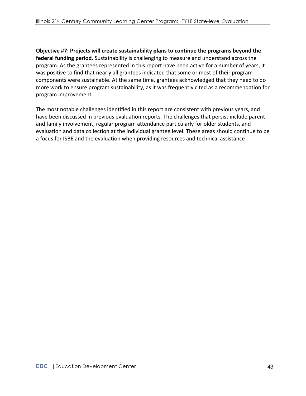**Objective #7: Projects will create sustainability plans to continue the programs beyond the federal funding period.** Sustainability is challenging to measure and understand across the program. As the grantees represented in this report have been active for a number of years, it was positive to find that nearly all grantees indicated that some or most of their program components were sustainable. At the same time, grantees acknowledged that they need to do more work to ensure program sustainability, as it was frequently cited as a recommendation for program improvement.

The most notable challenges identified in this report are consistent with previous years, and have been discussed in previous evaluation reports. The challenges that persist include parent and family involvement, regular program attendance particularly for older students, and evaluation and data collection at the individual grantee level. These areas should continue to be a focus for ISBE and the evaluation when providing resources and technical assistance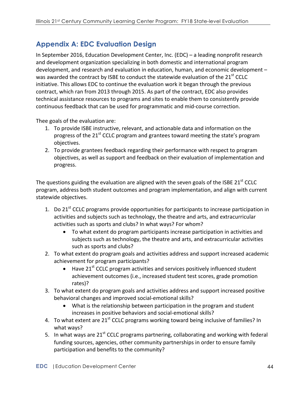# **Appendix A: EDC Evaluation Design**

In September 2016, Education Development Center, Inc. (EDC) – a leading nonprofit research and development organization specializing in both domestic and international program development, and research and evaluation in education, human, and economic development was awarded the contract by ISBE to conduct the statewide evaluation of the  $21<sup>st</sup>$  CCLC initiative. This allows EDC to continue the evaluation work it began through the previous contract, which ran from 2013 through 2015. As part of the contract, EDC also provides technical assistance resources to programs and sites to enable them to consistently provide continuous feedback that can be used for programmatic and mid-course correction.

Thee goals of the evaluation are:

- 1. To provide ISBE instructive, relevant, and actionable data and information on the progress of the  $21^{st}$  CCLC program and grantees toward meeting the state's program objectives.
- 2. To provide grantees feedback regarding their performance with respect to program objectives, as well as support and feedback on their evaluation of implementation and progress.

The questions guiding the evaluation are aligned with the seven goals of the ISBE 21 $^{\text{st}}$  CCLC program, address both student outcomes and program implementation, and align with current statewide objectives.

- 1. Do 21<sup>st</sup> CCLC programs provide opportunities for participants to increase participation in activities and subjects such as technology, the theatre and arts, and extracurricular activities such as sports and clubs? In what ways? For whom?
	- To what extent do program participants increase participation in activities and subjects such as technology, the theatre and arts, and extracurricular activities such as sports and clubs?
- 2. To what extent do program goals and activities address and support increased academic achievement for program participants?
	- Have  $21^{st}$  CCLC program activities and services positively influenced student achievement outcomes (i.e., increased student test scores, grade promotion rates)?
- 3. To what extent do program goals and activities address and support increased positive behavioral changes and improved social-emotional skills?
	- What is the relationship between participation in the program and student increases in positive behaviors and social-emotional skills?
- 4. To what extent are  $21^{st}$  CCLC programs working toward being inclusive of families? In what ways?
- 5. In what ways are  $21^{st}$  CCLC programs partnering, collaborating and working with federal funding sources, agencies, other community partnerships in order to ensure family participation and benefits to the community?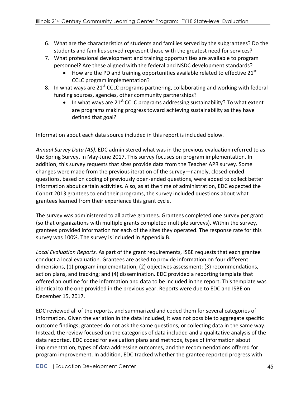- 6. What are the characteristics of students and families served by the subgrantees? Do the students and families served represent those with the greatest need for services?
- 7. What professional development and training opportunities are available to program personnel? Are these aligned with the federal and NSDC development standards?
	- How are the PD and training opportunities available related to effective  $21<sup>st</sup>$ CCLC program implementation?
- 8. In what ways are  $21^{st}$  CCLC programs partnering, collaborating and working with federal funding sources, agencies, other community partnerships?
	- In what ways are 21<sup>st</sup> CCLC programs addressing sustainability? To what extent are programs making progress toward achieving sustainability as they have defined that goal?

Information about each data source included in this report is included below.

Annual Survey Data (AS). EDC administered what was in the previous evaluation referred to as the Spring Survey, in May-June 2017. This survey focuses on program implementation. In addition, this survey requests that sites provide data from the Teacher APR survey. Some changes were made from the previous iteration of the survey—namely, closed-ended questions, based on coding of previously open-ended questions, were added to collect better information about certain activities. Also, as at the time of administration, EDC expected the Cohort 2013 grantees to end their programs, the survey included questions about what grantees learned from their experience this grant cycle.

The survey was administered to all active grantees. Grantees completed one survey per grant (so that organizations with multiple grants completed multiple surveys). Within the survey, grantees provided information for each of the sites they operated. The response rate for this survey was 100%. The survey is included in Appendix B.

Local Evaluation Reports. As part of the grant requirements, ISBE requests that each grantee conduct a local evaluation. Grantees are asked to provide information on four different dimensions,  $(1)$  program implementation;  $(2)$  objectives assessment;  $(3)$  recommendations, action plans, and tracking; and (4) dissemination. EDC provided a reporting template that offered an outline for the information and data to be included in the report. This template was identical to the one provided in the previous year. Reports were due to EDC and ISBE on December 15, 2017. 

EDC reviewed all of the reports, and summarized and coded them for several categories of information. Given the variation in the data included, it was not possible to aggregate specific outcome findings; grantees do not ask the same questions, or collecting data in the same way. Instead, the review focused on the categories of data included and a qualitative analysis of the data reported. EDC coded for evaluation plans and methods, types of information about implementation, types of data addressing outcomes, and the recommendations offered for program improvement. In addition, EDC tracked whether the grantee reported progress with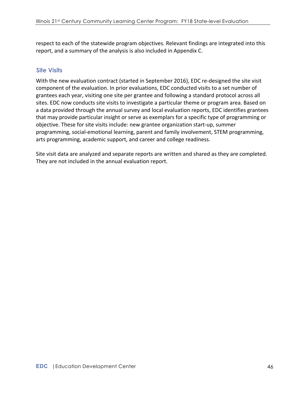respect to each of the statewide program objectives. Relevant findings are integrated into this report, and a summary of the analysis is also included in Appendix C.

### **Site Visits**

With the new evaluation contract (started in September 2016), EDC re-designed the site visit component of the evaluation. In prior evaluations, EDC conducted visits to a set number of grantees each year, visiting one site per grantee and following a standard protocol across all sites. EDC now conducts site visits to investigate a particular theme or program area. Based on a data provided through the annual survey and local evaluation reports, EDC identifies grantees that may provide particular insight or serve as exemplars for a specific type of programming or objective. These for site visits include: new grantee organization start-up, summer programming, social-emotional learning, parent and family involvement, STEM programming, arts programming, academic support, and career and college readiness.

Site visit data are analyzed and separate reports are written and shared as they are completed. They are not included in the annual evaluation report.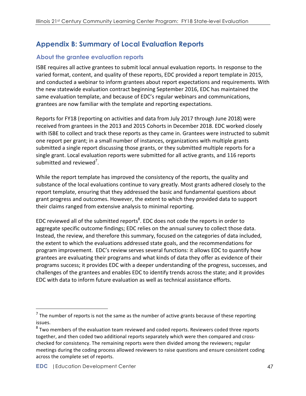# **Appendix B: Summary of Local Evaluation Reports**

# **About the grantee evaluation reports**

ISBE requires all active grantees to submit local annual evaluation reports. In response to the varied format, content, and quality of these reports, EDC provided a report template in 2015, and conducted a webinar to inform grantees about report expectations and requirements. With the new statewide evaluation contract beginning September 2016, EDC has maintained the same evaluation template, and because of EDC's regular webinars and communications, grantees are now familiar with the template and reporting expectations.

Reports for FY18 (reporting on activities and data from July 2017 through June 2018) were received from grantees in the 2013 and 2015 Cohorts in December 2018. EDC worked closely with ISBE to collect and track these reports as they came in. Grantees were instructed to submit one report per grant; in a small number of instances, organizations with multiple grants submitted a single report discussing those grants, or they submitted multiple reports for a single grant. Local evaluation reports were submitted for all active grants, and 116 reports submitted and reviewed<sup>7</sup>.

While the report template has improved the consistency of the reports, the quality and substance of the local evaluations continue to vary greatly. Most grants adhered closely to the report template, ensuring that they addressed the basic and fundamental questions about grant progress and outcomes. However, the extent to which they provided data to support their claims ranged from extensive analysis to minimal reporting.

EDC reviewed all of the submitted reports<sup>8</sup>. EDC does not code the reports in order to aggregate specific outcome findings; EDC relies on the annual survey to collect those data. Instead, the review, and therefore this summary, focused on the categories of data included, the extent to which the evaluations addressed state goals, and the recommendations for program improvement. EDC's review serves several functions: it allows EDC to quantify how grantees are evaluating their programs and what kinds of data they offer as evidence of their programs success; it provides EDC with a deeper understanding of the progress, successes, and challenges of the grantees and enables EDC to identify trends across the state; and it provides EDC with data to inform future evaluation as well as technical assistance efforts.

 

 $^7$  The number of reports is not the same as the number of active grants because of these reporting issues.

 $8$  Two members of the evaluation team reviewed and coded reports. Reviewers coded three reports together, and then coded two additional reports separately which were then compared and crosschecked for consistency. The remaining reports were then divided among the reviewers; regular meetings during the coding process allowed reviewers to raise questions and ensure consistent coding across the complete set of reports.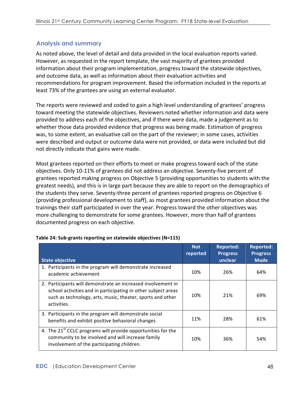# **Analysis and summary**

As noted above, the level of detail and data provided in the local evaluation reports varied. However, as requested in the report template, the vast majority of grantees provided information about their program implementation, progress toward the statewide objectives, and outcome data, as well as information about their evaluation activities and recommendations for program improvement. Based the information included in the reports at least 73% of the grantees are using an external evaluator.

The reports were reviewed and coded to gain a high level understanding of grantees' progress toward meeting the statewide objectives. Reviewers noted whether information and data were provided to address each of the objectives, and if there were data, made a judgement as to whether those data provided evidence that progress was being made. Estimation of progress was, to some extent, an evaluative call on the part of the reviewer; in some cases, activities were described and output or outcome data were not provided, or data were included but did not directly indicate that gains were made.

Most grantees reported on their efforts to meet or make progress toward each of the state objectives. Only 10-11% of grantees did not address an objective. Seventy-five percent of grantees reported making progress on Objective 5 (providing opportunities to students with the greatest needs), and this is in large part because they are able to report on the demographics of the students they serve. Seventy-three percent of grantees reported progress on Objective 6 (providing professional development to staff), as most grantees provided information about the trainings their staff participated in over the year. Progress toward the other objectives was more challenging to demonstrate for some grantees. However, more than half of grantees documented progress on each objective.

|                                                                                                                                                                                                            | <b>Not</b><br>reported | <b>Reported:</b><br><b>Progress</b> | <b>Reported:</b><br><b>Progress</b> |
|------------------------------------------------------------------------------------------------------------------------------------------------------------------------------------------------------------|------------------------|-------------------------------------|-------------------------------------|
| <b>State objective</b>                                                                                                                                                                                     |                        | unclear                             | <b>Made</b>                         |
| 1. Participants in the program will demonstrate increased<br>academic achievement                                                                                                                          | 10%                    | 26%                                 | 64%                                 |
| 2. Participants will demonstrate an increased involvement in<br>school activities and in participating in other subject areas<br>such as technology, arts, music, theater, sports and other<br>activities. | 10%                    | 21%                                 | 69%                                 |
| 3. Participants in the program will demonstrate social<br>benefits and exhibit positive behavioral changes                                                                                                 | 11%                    | 28%                                 | 61%                                 |
| 4. The 21 <sup>st</sup> CCLC programs will provide opportunities for the<br>community to be involved and will increase family<br>involvement of the participating children.                                | 10%                    | 36%                                 | 54%                                 |

#### **Table 24: Sub-grants reporting on statewide objectives (N=115)**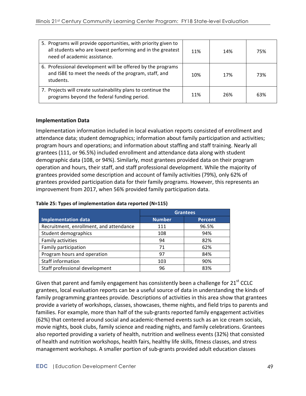| 5. Programs will provide opportunities, with priority given to<br>all students who are lowest performing and in the greatest<br>need of academic assistance. | 11% | 14% | 75% |
|--------------------------------------------------------------------------------------------------------------------------------------------------------------|-----|-----|-----|
| 6. Professional development will be offered by the programs<br>and ISBE to meet the needs of the program, staff, and<br>students.                            | 10% | 17% | 73% |
| 7. Projects will create sustainability plans to continue the<br>programs beyond the federal funding period.                                                  | 11% | 26% | 63% |

### **Implementation Data**

Implementation information included in local evaluation reports consisted of enrollment and attendance data; student demographics; information about family participation and activities; program hours and operations; and information about staffing and staff training. Nearly all grantees (111, or 96.5%) included enrollment and attendance data along with student demographic data (108, or 94%). Similarly, most grantees provided data on their program operation and hours, their staff, and staff professional development. While the majority of grantees provided some description and account of family activities (79%), only 62% of grantees provided participation data for their family programs. However, this represents an improvement from 2017, when 56% provided family participation data.

|                                         | <b>Grantees</b> |                |  |
|-----------------------------------------|-----------------|----------------|--|
| <b>Implementation data</b>              | <b>Number</b>   | <b>Percent</b> |  |
| Recruitment, enrollment, and attendance | 111             | 96.5%          |  |
| Student demographics                    | 108             | 94%            |  |
| Family activities                       | 94              | 82%            |  |
| Family participation                    | 71              | 62%            |  |
| Program hours and operation             | 97              | 84%            |  |
| Staff information                       | 103             | 90%            |  |
| Staff professional development          | 96              | 83%            |  |

#### Table 25: Types of implementation data reported (N=115)

Given that parent and family engagement has consistently been a challenge for  $21^{st}$  CCLC grantees, local evaluation reports can be a useful source of data in understanding the kinds of family programming grantees provide. Descriptions of activities in this area show that grantees provide a variety of workshops, classes, showcases, theme nights, and field trips to parents and families. For example, more than half of the sub-grants reported family engagement activities (62%) that centered around social and academic-themed events such as an ice cream socials, movie nights, book clubs, family science and reading nights, and family celebrations. Grantees also reported providing a variety of health, nutrition and wellness events (32%) that consisted of health and nutrition workshops, health fairs, healthy life skills, fitness classes, and stress management workshops. A smaller portion of sub-grants provided adult education classes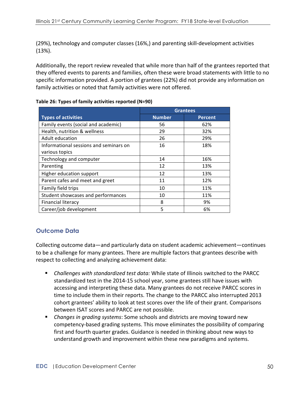(29%), technology and computer classes (16%,) and parenting skill-development activities (13%). 

Additionally, the report review revealed that while more than half of the grantees reported that they offered events to parents and families, often these were broad statements with little to no specific information provided. A portion of grantees (22%) did not provide any information on family activities or noted that family activities were not offered.

|                                        | <b>Grantees</b> |                |
|----------------------------------------|-----------------|----------------|
| <b>Types of activities</b>             | <b>Number</b>   | <b>Percent</b> |
| Family events (social and academic)    | 56              | 62%            |
| Health, nutrition & wellness           | 29              | 32%            |
| Adult education                        | 26              | 29%            |
| Informational sessions and seminars on | 16              | 18%            |
| various topics                         |                 |                |
| Technology and computer                | 14              | 16%            |
| Parenting                              | 12              | 13%            |
| Higher education support               | 12              | 13%            |
| Parent cafes and meet and greet        | 11              | 12%            |
| Family field trips                     | 10              | 11%            |
| Student showcases and performances     | 10              | 11%            |
| Financial literacy                     | 8               | 9%             |
| Career/job development                 | 5               | 6%             |

Table 26: Types of family activities reported (N=90)

# **Outcome Data**

Collecting outcome data—and particularly data on student academic achievement—continues to be a challenge for many grantees. There are multiple factors that grantees describe with respect to collecting and analyzing achievement data:

- *Challenges with standardized test data:* While state of Illinois switched to the PARCC standardized test in the 2014-15 school year, some grantees still have issues with accessing and interpreting these data. Many grantees do not receive PARCC scores in time to include them in their reports. The change to the PARCC also interrupted 2013 cohort grantees' ability to look at test scores over the life of their grant. Comparisons between ISAT scores and PARCC are not possible.
- **Examples Propelly** *Changes in grading systems:* Some schools and districts are moving toward new competency-based grading systems. This move eliminates the possibility of comparing first and fourth quarter grades. Guidance is needed in thinking about new ways to understand growth and improvement within these new paradigms and systems.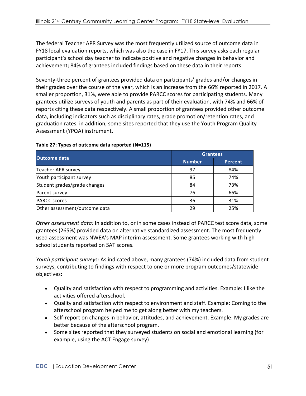The federal Teacher APR Survey was the most frequently utilized source of outcome data in FY18 local evaluation reports, which was also the case in FY17. This survey asks each regular participant's school day teacher to indicate positive and negative changes in behavior and achievement; 84% of grantees included findings based on these data in their reports.

Seventy-three percent of grantees provided data on participants' grades and/or changes in their grades over the course of the year, which is an increase from the 66% reported in 2017. A smaller proportion, 31%, were able to provide PARCC scores for participating students. Many grantees utilize surveys of youth and parents as part of their evaluation, with 74% and 66% of reports citing these data respectively. A small proportion of grantees provided other outcome data, including indicators such as disciplinary rates, grade promotion/retention rates, and graduation rates. in addition, some sites reported that they use the Youth Program Quality Assessment (YPQA) instrument.

| Outcome data                  | <b>Grantees</b> |                |  |
|-------------------------------|-----------------|----------------|--|
|                               | <b>Number</b>   | <b>Percent</b> |  |
| Teacher APR survey            | 97              | 84%            |  |
| Youth participant survey      | 85              | 74%            |  |
| Student grades/grade changes  | 84              | 73%            |  |
| Parent survey                 | 76              | 66%            |  |
| <b>PARCC</b> scores           | 36              | 31%            |  |
| Other assessment/outcome data | 29              | 25%            |  |

### **Table 27: Types of outcome data reported (N=115)**

*Other assessment data:* In addition to, or in some cases instead of PARCC test score data, some grantees (265%) provided data on alternative standardized assessment. The most frequently used assessment was NWEA's MAP interim assessment. Some grantees working with high school students reported on SAT scores.

*Youth participant surveys:* As indicated above, many grantees (74%) included data from student surveys, contributing to findings with respect to one or more program outcomes/statewide objectives: 

- Quality and satisfaction with respect to programming and activities. Example: I like the activities offered afterschool.
- Quality and satisfaction with respect to environment and staff. Example: Coming to the afterschool program helped me to get along better with my teachers.
- Self-report on changes in behavior, attitudes, and achievement. Example: My grades are better because of the afterschool program.
- Some sites reported that they surveyed students on social and emotional learning (for example, using the ACT Engage survey)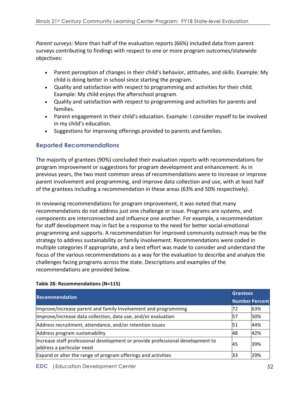*Parent surveys:* More than half of the evaluation reports (66%) included data from parent surveys contributing to findings with respect to one or more program outcomes/statewide objectives: 

- Parent perception of changes in their child's behavior, attitudes, and skills. Example: My child is doing better in school since starting the program.
- Quality and satisfaction with respect to programming and activities for their child. Example: My child enjoys the afterschool program.
- Quality and satisfaction with respect to programming and activities for parents and families.
- Parent engagement in their child's education. Example: I consider myself to be involved in my child's education.
- Suggestions for improving offerings provided to parents and families.

## **Reported Recommendations**

The majority of grantees (90%) concluded their evaluation reports with recommendations for program improvement or suggestions for program development and enhancement. As in previous years, the two most common areas of recommendations were to increase or improve parent involvement and programming, and improve data collection and use, with at least half of the grantees including a recommendation in these areas (63% and 50% respectively).

In reviewing recommendations for program improvement, it was noted that many recommendations do not address just one challenge or issue. Programs are systems, and components are interconnected and influence one another. For example, a recommendation for staff development may in fact be a response to the need for better social-emotional programming and supports. A recommendation for improved community outreach may be the strategy to address sustainability or family involvement. Recommendations were coded in multiple categories if appropriate, and a best effort was made to consider and understand the focus of the various recommendations as a way for the evaluation to describe and analyze the challenges facing programs across the state. Descriptions and examples of the recommendations are provided below.

| <b>Recommendation</b>                                                                                       |    | <b>Grantees</b>       |  |
|-------------------------------------------------------------------------------------------------------------|----|-----------------------|--|
|                                                                                                             |    | <b>Number Percent</b> |  |
| Improve/increase parent and family Involvement and programming                                              | 72 | 63%                   |  |
| Improve/increase data collection, data use, and/or evaluation                                               | 57 | 50%                   |  |
| Address recruitment, attendance, and/or retention issues                                                    | 51 | 44%                   |  |
| Address program sustainability                                                                              | 48 | 42%                   |  |
| Increase staff professional development or provide professional development to<br>address a particular need | 45 | 39%                   |  |
| Expand or alter the range of program offerings and activities                                               | 33 | 29%                   |  |

### Table 28: Recommendations (N=115)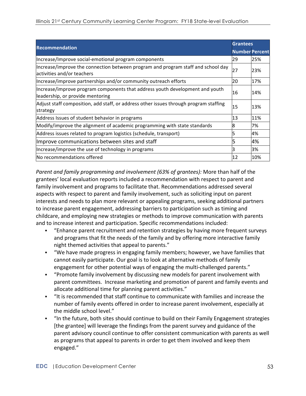|                                                                                                                  |                       | <b>Grantees</b> |  |
|------------------------------------------------------------------------------------------------------------------|-----------------------|-----------------|--|
| <b>Recommendation</b>                                                                                            | <b>Number Percent</b> |                 |  |
| Increase/Improve social-emotional program components                                                             | 29                    | 25%             |  |
| Increase/improve the connection between program and program staff and school day<br>activities and/or teachers   | 27                    | 23%             |  |
| Increase/improve partnerships and/or community outreach efforts                                                  | 20                    | 17%             |  |
| Increase/improve program components that address youth development and youth<br>leadership, or provide mentoring | 16                    | 14%             |  |
| Adjust staff composition, add staff, or address other issues through program staffing<br>strategy                | 15                    | 13%             |  |
| Address Issues of student behavior in programs                                                                   | 13                    | 11%             |  |
| Modify/improve the alignment of academic programming with state standards                                        | 18                    | 7%              |  |
| Address issues related to program logistics (schedule, transport)                                                |                       | 4%              |  |
| Improve communications between sites and staff                                                                   |                       | 4%              |  |
| Increase/improve the use of technology in programs                                                               |                       | 3%              |  |
| lNo recommendations offered                                                                                      | 12                    | 10%             |  |

*Parent and family programming and involvement (63% of grantees):* More than half of the grantees' local evaluation reports included a recommendation with respect to parent and family involvement and programs to facilitate that. Recommendations addressed several aspects with respect to parent and family involvement, such as soliciting input on parent interests and needs to plan more relevant or appealing programs, seeking additional partners to increase parent engagement, addressing barriers to participation such as timing and childcare, and employing new strategies or methods to improve communication with parents and to increase interest and participation. Specific recommendations included:

- "Enhance parent recruitment and retention strategies by having more frequent surveys and programs that fit the needs of the family and by offering more interactive family night themed activities that appeal to parents."
- "We have made progress in engaging family members; however, we have families that cannot easily participate. Our goal is to look at alternative methods of family engagement for other potential ways of engaging the multi-challenged parents."
- **•** "Promote family involvement by discussing new models for parent involvement with parent committees. Increase marketing and promotion of parent and family events and allocate additional time for planning parent activities."
- "It is recommended that staff continue to communicate with families and increase the number of family events offered in order to increase parent involvement, especially at the middle school level."
- "In the future, both sites should continue to build on their Family Engagement strategies [the grantee] will leverage the findings from the parent survey and guidance of the parent advisory council continue to offer consistent communication with parents as well as programs that appeal to parents in order to get them involved and keep them engaged."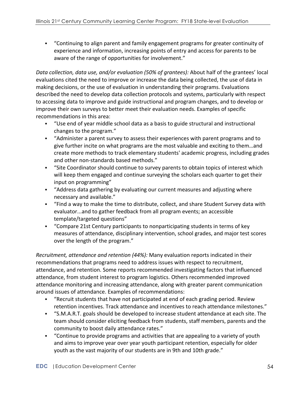• "Continuing to align parent and family engagement programs for greater continuity of experience and information, increasing points of entry and access for parents to be aware of the range of opportunities for involvement."

*Data collection, data use, and/or evaluation (50% of grantees):* About half of the grantees' local evaluations cited the need to improve or increase the data being collected, the use of data in making decisions, or the use of evaluation in understanding their programs. Evaluations described the need to develop data collection protocols and systems, particularly with respect to accessing data to improve and guide instructional and program changes, and to develop or improve their own surveys to better meet their evaluation needs. Examples of specific recommendations in this area:

- "Use end of year middle school data as a basis to guide structural and instructional changes to the program."
- "Administer a parent survey to assess their experiences with parent programs and to give further incite on what programs are the most valuable and exciting to them...and create more methods to track elementary students' academic progress, including grades and other non-standards based methods."
- "Site Coordinator should continue to survey parents to obtain topics of interest which will keep them engaged and continue surveying the scholars each quarter to get their input on programming"
- **•** "Address data gathering by evaluating our current measures and adjusting where necessary and available."
- "Find a way to make the time to distribute, collect, and share Student Survey data with evaluator...and to gather feedback from all program events; an accessible template/targeted questions"
- "Compare 21st Century participants to nonparticipating students in terms of key measures of attendance, disciplinary intervention, school grades, and major test scores over the length of the program."

*Recruitment, attendance and retention (44%):* Many evaluation reports indicated in their recommendations that programs need to address issues with respect to recruitment, attendance, and retention. Some reports recommended investigating factors that influenced attendance, from student interest to program logistics. Others recommended improved attendance monitoring and increasing attendance, along with greater parent communication around issues of attendance. Examples of recommendations:

- "Recruit students that have not participated at end of each grading period. Review retention incentives. Track attendance and incentives to reach attendance milestones."
- "S.M.A.R.T. goals should be developed to increase student attendance at each site. The team should consider eliciting feedback from students, staff members, parents and the community to boost daily attendance rates."
- "Continue to provide programs and activities that are appealing to a variety of youth and aims to improve year over year youth participant retention, especially for older youth as the vast majority of our students are in 9th and 10th grade."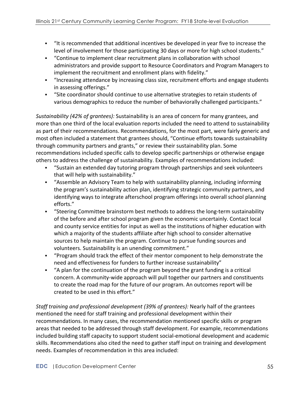- **•** "It is recommended that additional incentives be developed in year five to increase the level of involvement for those participating 30 days or more for high school students."
- "Continue to implement clear recruitment plans in collaboration with school administrators and provide support to Resource Coordinators and Program Managers to implement the recruitment and enrollment plans with fidelity."
- "Increasing attendance by increasing class size, recruitment efforts and engage students in assessing offerings."
- "Site coordinator should continue to use alternative strategies to retain students of various demographics to reduce the number of behaviorally challenged participants."

*Sustainability* (42% of grantees): Sustainability is an area of concern for many grantees, and more than one third of the local evaluation reports included the need to attend to sustainability as part of their recommendations. Recommendations, for the most part, were fairly generic and most often included a statement that grantees should, "Continue efforts towards sustainability through community partners and grants," or review their sustainability plan. Some recommendations included specific calls to develop specific partnerships or otherwise engage others to address the challenge of sustainability. Examples of recommendations included:

- § "Sustain an extended day tutoring program through partnerships and seek volunteers that will help with sustainability."
- "Assemble an Advisory Team to help with sustainability planning, including informing the program's sustainability action plan, identifying strategic community partners, and identifying ways to integrate afterschool program offerings into overall school planning efforts."
- "Steering Committee brainstorm best methods to address the long-term sustainability of the before and after school program given the economic uncertainly. Contact local and county service entities for input as well as the institutions of higher education with which a majority of the students affiliate after high school to consider alternative sources to help maintain the program. Continue to pursue funding sources and volunteers. Sustainability is an unending commitment."
- "Program should track the effect of their mentor component to help demonstrate the need and effectiveness for funders to further increase sustainability"
- $\blacksquare$  "A plan for the continuation of the program beyond the grant funding is a critical concern. A community-wide approach will pull together our partners and constituents to create the road map for the future of our program. An outcomes report will be created to be used in this effort."

*Staff training and professional development (39% of grantees):* Nearly half of the grantees mentioned the need for staff training and professional development within their recommendations. In many cases, the recommendation mentioned specific skills or program areas that needed to be addressed through staff development. For example, recommendations included building staff capacity to support student social-emotional development and academic skills. Recommendations also cited the need to gather staff input on training and development needs. Examples of recommendation in this area included: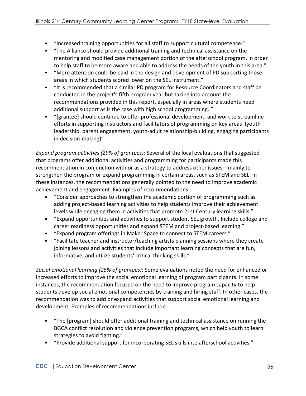- "Increased training opportunities for all staff to support cultural competence."
- **•** "The Alliance should provide additional training and technical assistance on the mentoring and modified case management portion of the afterschool program, in order to help staff to be more aware and able to address the needs of the youth in this area."
- "More attention could be paid in the design and development of PD supporting those areas in which students scored lower on the SEL instrument."
- "It is recommended that a similar PD program for Resource Coordinators and staff be conducted in the project's fifth program year but taking into account the recommendations provided in this report, especially in areas where students need additional support as is the case with high school programming.."
- "[grantee] should continue to offer professional development, and work to streamline efforts in supporting instructors and facilitators of programming on key areas (youth leadership, parent engagement, youth-adult relationship-building, engaging participants in decision-making)"

*Expand program activities (29% of grantees):* Several of the local evaluations that suggested that programs offer additional activities and programming for participants made this recommendation in conjunction with or as a strategy to address other issues—mainly to strengthen the program or expand programming in certain areas, such as STEM and SEL. In these instances, the recommendations generally pointed to the need to improve academic achievement and engagement. Examples of recommendations:

- "Consider approaches to strengthen the academic portion of programming such as adding project-based learning activities to help students improve their achievement levels while engaging them in activities that promote 21st Century learning skills."
- § "Expand opportunities and activities to support student SEL growth. Include college and career readiness opportunities and expand STEM and project-based learning."
- "Expand program offerings in Maker Space to connect to STEM careers."
- "Facilitate teacher and instructor/teaching artists planning sessions where they create joining lessons and activities that include important learning concepts that are fun, informative, and utilize students' critical thinking skills."

*Social emotional learning (25% of grantees):* Some evaluations noted the need for enhanced or increased efforts to improve the social emotional learning of program participants. In some instances, the recommendation focused on the need to improve program capacity to help students develop social emotional competencies by training and hiring staff. In other cases, the recommendation was to add or expand activities that support social emotional learning and development. Examples of recommendations include:

- "The [program] should offer additional training and technical assistance on running the BGCA conflict resolution and violence prevention programs, which help youth to learn strategies to avoid fighting."
- "Provide additional support for incorporating SEL skills into afterschool activities."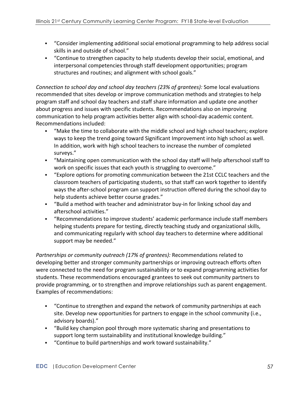- "Consider implementing additional social emotional programming to help address social skills in and outside of school."
- "Continue to strengthen capacity to help students develop their social, emotional, and interpersonal competencies through staff development opportunities; program structures and routines; and alignment with school goals."

*Connection to school day and school day teachers (23% of grantees):* Some local evaluations recommended that sites develop or improve communication methods and strategies to help program staff and school day teachers and staff share information and update one another about progress and issues with specific students. Recommendations also on improving communication to help program activities better align with school-day academic content. Recommendations included:

- "Make the time to collaborate with the middle school and high school teachers; explore ways to keep the trend going toward Significant Improvement into high school as well. In addition, work with high school teachers to increase the number of completed surveys."
- "Maintaining open communication with the school day staff will help afterschool staff to work on specific issues that each youth is struggling to overcome."
- "Explore options for promoting communication between the 21st CCLC teachers and the classroom teachers of participating students, so that staff can work together to identify ways the after-school program can support instruction offered during the school day to help students achieve better course grades."
- "Build a method with teacher and administrator buy-in for linking school day and afterschool activities."
- "Recommendations to improve students' academic performance include staff members helping students prepare for testing, directly teaching study and organizational skills, and communicating regularly with school day teachers to determine where additional support may be needed."

*Partnerships or community outreach (17% of grantees):* Recommendations related to developing better and stronger community partnerships or improving outreach efforts often were connected to the need for program sustainability or to expand programming activities for students. These recommendations encouraged grantees to seek out community partners to provide programming, or to strengthen and improve relationships such as parent engagement. Examples of recommendations:

- "Continue to strengthen and expand the network of community partnerships at each site. Develop new opportunities for partners to engage in the school community (i.e., advisory boards)."
- § "Build key champion pool through more systematic sharing and presentations to support long term sustainability and institutional knowledge building."
- "Continue to build partnerships and work toward sustainability."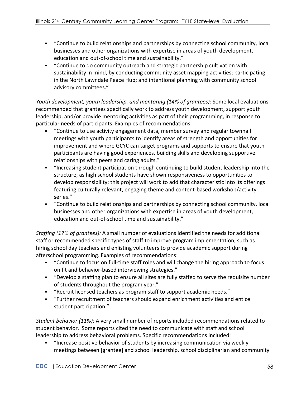- "Continue to build relationships and partnerships by connecting school community, local businesses and other organizations with expertise in areas of youth development, education and out-of-school time and sustainability."
- "Continue to do community outreach and strategic partnership cultivation with sustainability in mind, by conducting community asset mapping activities; participating in the North Lawndale Peace Hub; and intentional planning with community school advisory committees."

*Youth development, youth leadership, and mentoring (14% of grantees):* Some local evaluations recommended that grantees specifically work to address youth development, support youth leadership, and/or provide mentoring activities as part of their programming, in response to particular needs of participants. Examples of recommendations:

- "Continue to use activity engagement data, member survey and regular townhall meetings with youth participants to identify areas of strength and opportunities for improvement and where GCYC can target programs and supports to ensure that youth participants are having good experiences, building skills and developing supportive relationships with peers and caring adults."
- "Increasing student participation through continuing to build student leadership into the structure, as high school students have shown responsiveness to opportunities to develop responsibility; this project will work to add that characteristic into its offerings featuring culturally relevant, engaging theme and content-based workshop/activity series."
- "Continue to build relationships and partnerships by connecting school community, local businesses and other organizations with expertise in areas of youth development, education and out-of-school time and sustainability."

*Staffing (17% of grantees):* A small number of evaluations identified the needs for additional staff or recommended specific types of staff to improve program implementation, such as hiring school day teachers and enlisting volunteers to provide academic support during afterschool programming. Examples of recommendations:

- "Continue to focus on full-time staff roles and will change the hiring approach to focus on fit and behavior-based interviewing strategies."
- "Develop a staffing plan to ensure all sites are fully staffed to serve the requisite number of students throughout the program year."
- "Recruit licensed teachers as program staff to support academic needs."
- **•** "Further recruitment of teachers should expand enrichment activities and entice student participation."

*Student behavior (11%):* A very small number of reports included recommendations related to student behavior. Some reports cited the need to communicate with staff and school leadership to address behavioral problems. Specific recommendations included:

• "Increase positive behavior of students by increasing communication via weekly meetings between [grantee] and school leadership, school disciplinarian and community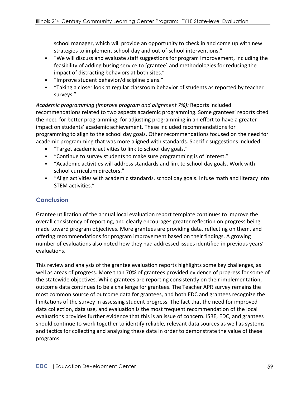school manager, which will provide an opportunity to check in and come up with new strategies to implement school-day and out-of-school interventions."

- "We will discuss and evaluate staff suggestions for program improvement, including the feasibility of adding busing service to [grantee] and methodologies for reducing the impact of distracting behaviors at both sites."
- **•** "Improve student behavior/discipline plans."
- "Taking a closer look at regular classroom behavior of students as reported by teacher surveys."

*Academic programming (improve program and alignment 7%):* Reports included recommendations related to two aspects academic programming. Some grantees' reports cited the need for better programming, for adjusting programming in an effort to have a greater impact on students' academic achievement. These included recommendations for programming to align to the school day goals. Other recommendations focused on the need for academic programming that was more aligned with standards. Specific suggestions included:

- **•** "Target academic activities to link to school day goals."
- "Continue to survey students to make sure programming is of interest."
- "Academic activities will address standards and link to school day goals. Work with school curriculum directors."
- <sup>■</sup> "Align activities with academic standards, school day goals. Infuse math and literacy into STEM activities."

# **Conclusion**

Grantee utilization of the annual local evaluation report template continues to improve the overall consistency of reporting, and clearly encourages greater reflection on progress being made toward program objectives. More grantees are providing data, reflecting on them, and offering recommendations for program improvement based on their findings. A growing number of evaluations also noted how they had addressed issues identified in previous years' evaluations.

This review and analysis of the grantee evaluation reports highlights some key challenges, as well as areas of progress. More than 70% of grantees provided evidence of progress for some of the statewide objectives. While grantees are reporting consistently on their implementation, outcome data continues to be a challenge for grantees. The Teacher APR survey remains the most common source of outcome data for grantees, and both EDC and grantees recognize the limitations of the survey in assessing student progress. The fact that the need for improved data collection, data use, and evaluation is the most frequent recommendation of the local evaluations provides further evidence that this is an issue of concern. ISBE, EDC, and grantees should continue to work together to identify reliable, relevant data sources as well as systems and tactics for collecting and analyzing these data in order to demonstrate the value of these programs.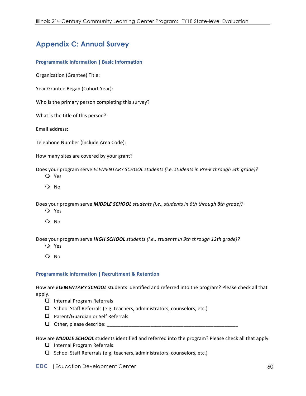# **Appendix C: Annual Survey**

#### **Programmatic Information | Basic Information**

Organization (Grantee) Title:

Year Grantee Began (Cohort Year):

Who is the primary person completing this survey?

What is the title of this person?

Email address:

Telephone Number (Include Area Code):

How many sites are covered by your grant?

Does your program serve *ELEMENTARY SCHOOL students (i.e. students in Pre-K through 5th grade)?* 

- O Yes
- O No

Does your program serve **MIDDLE SCHOOL** students (i.e., students in 6th through 8th grade)?

- O Yes
- O No

Does your program serve HIGH SCHOOL students (i.e., students in 9th through 12th grade)?

- O Yes
- O No

#### **Programmatic Information | Recruitment & Retention**

How are *ELEMENTARY SCHOOL* students identified and referred into the program? Please check all that apply.

- $\Box$  Internal Program Referrals
- $\Box$  School Staff Referrals (e.g. teachers, administrators, counselors, etc.)
- $\Box$  Parent/Guardian or Self Referrals
- q Other, please describe: \_\_\_\_\_\_\_\_\_\_\_\_\_\_\_\_\_\_\_\_\_\_\_\_\_\_\_\_\_\_\_\_\_\_\_\_\_\_\_\_\_\_\_\_\_\_\_\_

How are **MIDDLE SCHOOL** students identified and referred into the program? Please check all that apply.

- $\Box$  Internal Program Referrals
- $\Box$  School Staff Referrals (e.g. teachers, administrators, counselors, etc.)

#### **EDC** |Education Development Center 60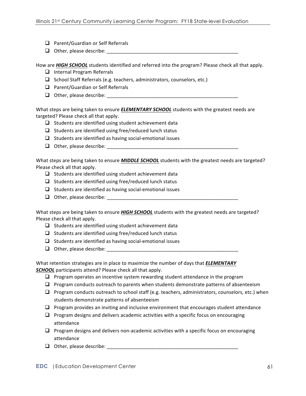- $\Box$  Parent/Guardian or Self Referrals
- $\Box$  Other, please describe:

How are **HIGH SCHOOL** students identified and referred into the program? Please check all that apply.

- $\Box$  Internal Program Referrals
- $\Box$  School Staff Referrals (e.g. teachers, administrators, counselors, etc.)
- $\Box$  Parent/Guardian or Self Referrals
- q Other, please describe: \_\_\_\_\_\_\_\_\_\_\_\_\_\_\_\_\_\_\_\_\_\_\_\_\_\_\_\_\_\_\_\_\_\_\_\_\_\_\_\_\_\_\_\_\_\_\_\_

What steps are being taken to ensure **ELEMENTARY SCHOOL** students with the greatest needs are targeted? Please check all that apply.

- $\Box$  Students are identified using student achievement data
- $\Box$  Students are identified using free/reduced lunch status
- $\Box$  Students are identified as having social-emotional issues
- q Other, please describe: \_\_\_\_\_\_\_\_\_\_\_\_\_\_\_\_\_\_\_\_\_\_\_\_\_\_\_\_\_\_\_\_\_\_\_\_\_\_\_\_\_\_\_\_\_\_\_\_

What steps are being taken to ensure **MIDDLE SCHOOL** students with the greatest needs are targeted? Please check all that apply.

- $\Box$  Students are identified using student achievement data
- $\Box$  Students are identified using free/reduced lunch status
- $\Box$  Students are identified as having social-emotional issues
- q Other, please describe: \_\_\_\_\_\_\_\_\_\_\_\_\_\_\_\_\_\_\_\_\_\_\_\_\_\_\_\_\_\_\_\_\_\_\_\_\_\_\_\_\_\_\_\_\_\_\_\_

What steps are being taken to ensure *HIGH SCHOOL* students with the greatest needs are targeted? Please check all that apply.

- $\Box$  Students are identified using student achievement data
- $\Box$  Students are identified using free/reduced lunch status
- $\Box$  Students are identified as having social-emotional issues
- q Other, please describe: \_\_\_\_\_\_\_\_\_\_\_\_\_\_\_\_\_\_\_\_\_\_\_\_\_\_\_\_\_\_\_\_\_\_\_\_\_\_\_\_\_\_\_\_\_\_\_\_

What retention strategies are in place to maximize the number of days that **ELEMENTARY SCHOOL** participants attend? Please check all that apply.

- $\Box$  Program operates an incentive system rewarding student attendance in the program
- $\Box$  Program conducts outreach to parents when students demonstrate patterns of absenteeism
- $\Box$  Program conducts outreach to school staff (e.g. teachers, administrators, counselors, etc.) when students demonstrate patterns of absenteeism
- $\Box$  Program provides an inviting and inclusive environment that encourages student attendance
- $\Box$  Program designs and delivers academic activities with a specific focus on encouraging attendance
- $\Box$  Program designs and delivers non-academic activities with a specific focus on encouraging attendance
- q Other, please describe: \_\_\_\_\_\_\_\_\_\_\_\_\_\_\_\_\_\_\_\_\_\_\_\_\_\_\_\_\_\_\_\_\_\_\_\_\_\_\_\_\_\_\_\_\_\_\_\_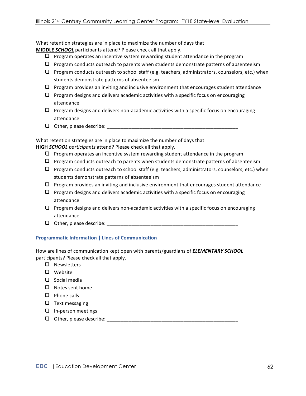What retention strategies are in place to maximize the number of days that

**MIDDLE SCHOOL** participants attend? Please check all that apply.

- $\Box$  Program operates an incentive system rewarding student attendance in the program
- $\Box$  Program conducts outreach to parents when students demonstrate patterns of absenteeism
- $\Box$  Program conducts outreach to school staff (e.g. teachers, administrators, counselors, etc.) when students demonstrate patterns of absenteeism
- $\Box$  Program provides an inviting and inclusive environment that encourages student attendance
- $\Box$  Program designs and delivers academic activities with a specific focus on encouraging attendance
- $\Box$  Program designs and delivers non-academic activities with a specific focus on encouraging attendance
- q Other, please describe: \_\_\_\_\_\_\_\_\_\_\_\_\_\_\_\_\_\_\_\_\_\_\_\_\_\_\_\_\_\_\_\_\_\_\_\_\_\_\_\_\_\_\_\_\_\_\_\_

What retention strategies are in place to maximize the number of days that **HIGH SCHOOL** participants attend? Please check all that apply.

- $\Box$  Program operates an incentive system rewarding student attendance in the program
- $\Box$  Program conducts outreach to parents when students demonstrate patterns of absenteeism
- $\Box$  Program conducts outreach to school staff (e.g. teachers, administrators, counselors, etc.) when students demonstrate patterns of absenteeism
- $\Box$  Program provides an inviting and inclusive environment that encourages student attendance
- $\Box$  Program designs and delivers academic activities with a specific focus on encouraging attendance
- $\Box$  Program designs and delivers non-academic activities with a specific focus on encouraging attendance
- $\Box$  Other, please describe:

### **Programmatic Information | Lines of Communication**

How are lines of communication kept open with parents/guardians of **ELEMENTARY SCHOOL** participants? Please check all that apply.

- $\Box$  Newsletters
- $\Box$  Website
- $\Box$  Social media
- $\Box$  Notes sent home
- $\Box$  Phone calls
- $\Box$  Text messaging
- $\Box$  In-person meetings
- q Other, please describe: \_\_\_\_\_\_\_\_\_\_\_\_\_\_\_\_\_\_\_\_\_\_\_\_\_\_\_\_\_\_\_\_\_\_\_\_\_\_\_\_\_\_\_\_\_\_\_\_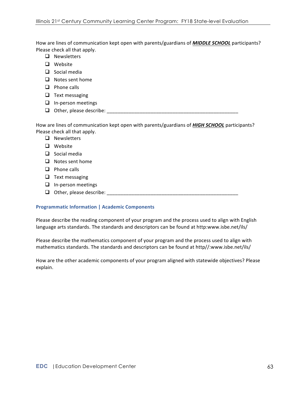How are lines of communication kept open with parents/guardians of **MIDDLE SCHOOL** participants? Please check all that apply.

- $\Box$  Newsletters
- $\Box$  Website
- $\Box$  Social media
- $\Box$  Notes sent home
- $\Box$  Phone calls
- $\Box$  Text messaging
- $\Box$  In-person meetings
- q Other, please describe: \_\_\_\_\_\_\_\_\_\_\_\_\_\_\_\_\_\_\_\_\_\_\_\_\_\_\_\_\_\_\_\_\_\_\_\_\_\_\_\_\_\_\_\_\_\_\_\_

How are lines of communication kept open with parents/guardians of **HIGH SCHOOL** participants? Please check all that apply.

- $\Box$  Newsletters
- $\Box$  Website
- $\Box$  Social media
- $\Box$  Notes sent home
- $\Box$  Phone calls
- $\Box$  Text messaging
- $\Box$  In-person meetings
- q Other, please describe: \_\_\_\_\_\_\_\_\_\_\_\_\_\_\_\_\_\_\_\_\_\_\_\_\_\_\_\_\_\_\_\_\_\_\_\_\_\_\_\_\_\_\_\_\_\_\_\_

#### **Programmatic Information | Academic Components**

Please describe the reading component of your program and the process used to align with English language arts standards. The standards and descriptors can be found at http:www.isbe.net/ils/

Please describe the mathematics component of your program and the process used to align with mathematics standards. The standards and descriptors can be found at http//:www.isbe.net/ils/

How are the other academic components of your program aligned with statewide objectives? Please explain.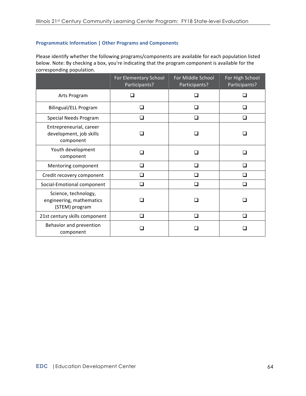### **Programmatic Information | Other Programs and Components**

Please identify whether the following programs/components are available for each population listed below. Note: By checking a box, you're indicating that the program component is available for the corresponding population.

|                                                                    | For Elementary School<br>Participants? | For Middle School<br>Participants? | For High School<br>Participants? |
|--------------------------------------------------------------------|----------------------------------------|------------------------------------|----------------------------------|
| Arts Program                                                       |                                        |                                    | П                                |
| <b>Bilingual/ELL Program</b>                                       | □                                      |                                    | $\Box$                           |
| Special Needs Program                                              | П                                      | П                                  | ∩                                |
| Entrepreneurial, career<br>development, job skills<br>component    |                                        |                                    |                                  |
| Youth development<br>component                                     |                                        |                                    | H                                |
| Mentoring component                                                | П                                      |                                    | П                                |
| Credit recovery component                                          | □                                      | □                                  | ◻                                |
| Social-Emotional component                                         | □                                      | □                                  | □                                |
| Science, technology,<br>engineering, mathematics<br>(STEM) program |                                        |                                    |                                  |
| 21st century skills component                                      | ◻                                      | n                                  | □                                |
| Behavior and prevention<br>component                               |                                        |                                    |                                  |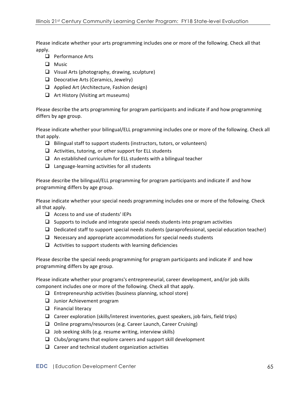Please indicate whether your arts programming includes one or more of the following. Check all that apply.

- $\Box$  Performance Arts
- $\Box$  Music
- $\Box$  Visual Arts (photography, drawing, sculpture)
- $\Box$  Deocrative Arts (Ceramics, Jewelry)
- $\Box$  Applied Art (Architecture, Fashion design)
- $\Box$  Art History (Visiting art museums)

Please describe the arts programming for program participants and indicate if and how programming differs by age group.

Please indicate whether your bilingual/ELL programming includes one or more of the following. Check all that apply.

- $\Box$  Bilingual staff to support students (instructors, tutors, or volunteers)
- $\Box$  Activities, tutoring, or other support for ELL students
- $\Box$  An established curriculum for ELL students with a bilingual teacher
- $\Box$  Language-learning activities for all students

Please describe the bilingual/ELL programming for program participants and indicate if and how programming differs by age group.

Please indicate whether your special needs programming includes one or more of the following. Check all that apply.

- $\Box$  Access to and use of students' IEPs
- $\Box$  Supports to include and integrate special needs students into program activities
- $\Box$  Dedicated staff to support special needs students (paraprofessional, special education teacher)
- $\Box$  Necessary and appropriate accommodations for special needs students
- $\Box$  Activities to support students with learning deficiencies

Please describe the special needs programming for program participants and indicate if and how programming differs by age group.

Please indicate whether your programs's entrepreneurial, career development, and/or job skills component includes one or more of the following. Check all that apply.

- $\Box$  Entrepreneurship activities (business planning, school store)
- $\Box$  Junior Achievement program
- $\Box$  Financial literacy
- $\Box$  Career exploration (skills/interest inventories, guest speakers, job fairs, field trips)
- $\Box$  Online programs/resources (e.g. Career Launch, Career Cruising)
- $\Box$  Job seeking skills (e.g. resume writing, interview skills)
- $\Box$  Clubs/programs that explore careers and support skill development
- $\Box$  Career and technical student organization activities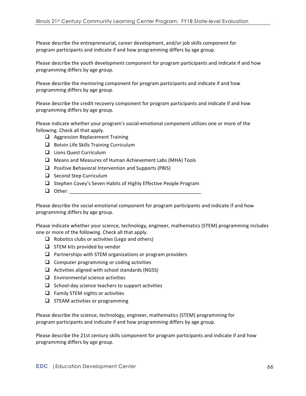Please describe the entrepreneurial, career development, and/or job skills component for program participants and indicate if and how programming differs by age group.

Please describe the youth development component for program participants and indicate if and how programming differs by age group.

Please describe the mentoring component for program participants and indicate if and how programming differs by age group.

Please describe the credit recovery component for program participants and indicate if and how programming differs by age group.

Please indicate whether your program's social-emotional component utilizes one or more of the following. Check all that apply.

- $\Box$  Aggression Replacement Training
- $\Box$  Botvin Life Skills Training Curriculum
- $\Box$  Lions Quest Curriculum
- $\Box$  Means and Measures of Human Achievement Labs (MHA) Tools
- $\Box$  Positive Behavioral Intervention and Supports (PBIS)
- $\Box$  Second Step Curriculum
- $\Box$  Stephen Covey's Seven Habits of Highly Effective People Program
- q Other: \_\_\_\_\_\_\_\_\_\_\_\_\_\_\_\_\_\_\_\_\_\_\_\_\_\_\_\_\_\_\_\_\_\_\_\_\_\_\_\_\_\_\_\_\_\_\_\_

Please describe the social-emotional component for program participants and indicate if and how programming differs by age group.

Please indicate whether your science, technology, engineer, mathematics (STEM) programming includes one or more of the following. Check all that apply.

- $\Box$  Robotics clubs or activities (Lego and others)
- $\Box$  STEM kits provided by vendor
- $\Box$  Partnerships with STEM organizations or program providers
- $\Box$  Computer programming or coding activities
- $\Box$  Activities aligned with school standards (NGSS)
- $\Box$  Environmental science activities
- $\Box$  School-day science teachers to support activities
- $\Box$  Family STEM nights or activities
- $\Box$  STEAM activities or programming

Please describe the science, technology, engineer, mathematics (STEM) programming for program participants and indicate if and how programming differs by age group.

Please describe the 21st century skills component for program participants and indicate if and how programming differs by age group.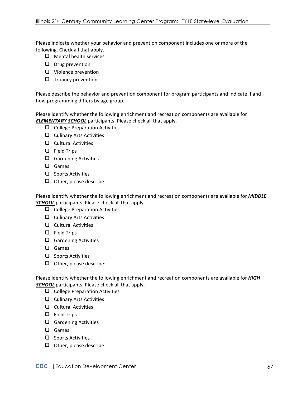Please indicate whether your behavior and prevention component includes one or more of the following. Check all that apply.

- $\Box$  Mental health services
- $\Box$  Drug prevention
- $\Box$  Violence prevention
- $\Box$  Truancy prevention

Please describe the behavior and prevention component for program participants and indicate if and how programming differs by age group.

Please identify whether the following enrichment and recreation components are available for **ELEMENTARY SCHOOL** participants. Please check all that apply.

- $\Box$  College Preparation Activities
- $\Box$  Culinary Arts Activities
- $\Box$  Cultural Activities
- $\Box$  Field Trips
- $\Box$  Gardening Activities
- $\Box$  Games
- $\Box$  Sports Activities
- $\Box$  Other, please describe:

Please identify whether the following enrichment and recreation components are available for **MIDDLE SCHOOL** participants. Please check all that apply.

- $\Box$  College Preparation Activities
- $\Box$  Culinary Arts Activities
- $\Box$  Cultural Activities
- $\Box$  Field Trips
- $\Box$  Gardening Activities
- **Q** Games
- $\Box$  Sports Activities
- q Other, please describe: \_\_\_\_\_\_\_\_\_\_\_\_\_\_\_\_\_\_\_\_\_\_\_\_\_\_\_\_\_\_\_\_\_\_\_\_\_\_\_\_\_\_\_\_\_\_\_\_

Please identify whether the following enrichment and recreation components are available for *HIGH* **SCHOOL** participants. Please check all that apply.

- $\Box$  College Preparation Activities
- $\Box$  Culinary Arts Activities
- $\Box$  Cultural Activities
- $\Box$  Field Trips
- $\Box$  Gardening Activities
- **Q** Games
- $\Box$  Sports Activities
- q Other, please describe: \_\_\_\_\_\_\_\_\_\_\_\_\_\_\_\_\_\_\_\_\_\_\_\_\_\_\_\_\_\_\_\_\_\_\_\_\_\_\_\_\_\_\_\_\_\_\_\_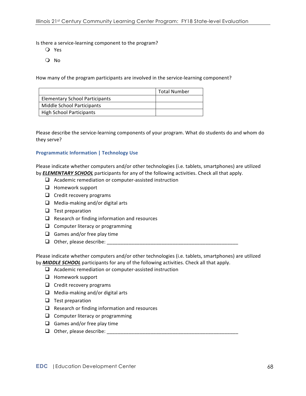Is there a service-learning component to the program?

- m Yes
- O No

How many of the program participants are involved in the service-learning component?

|                                       | Total Number |
|---------------------------------------|--------------|
| <b>Elementary School Participants</b> |              |
| Middle School Participants            |              |
| <b>High School Participants</b>       |              |

Please describe the service-learning components of your program. What do students do and whom do they serve?

#### **Programmatic Information | Technology Use**

Please indicate whether computers and/or other technologies (i.e. tablets, smartphones) are utilized by **ELEMENTARY SCHOOL** participants for any of the following activities. Check all that apply.

- $\Box$  Academic remediation or computer-assisted instruction
- $\Box$  Homework support
- $\Box$  Credit recovery programs
- $\Box$  Media-making and/or digital arts
- $\Box$  Test preparation
- $\Box$  Research or finding information and resources
- $\Box$  Computer literacy or programming
- $\Box$  Games and/or free play time
- $\Box$  Other, please describe:

Please indicate whether computers and/or other technologies (i.e. tablets, smartphones) are utilized by **MIDDLE SCHOOL** participants for any of the following activities. Check all that apply.

- $\Box$  Academic remediation or computer-assisted instruction
- $\Box$  Homework support
- $\Box$  Credit recovery programs
- $\Box$  Media-making and/or digital arts
- $\Box$  Test preparation
- $\Box$  Research or finding information and resources
- $\Box$  Computer literacy or programming
- $\Box$  Games and/or free play time
- $\Box$  Other, please describe: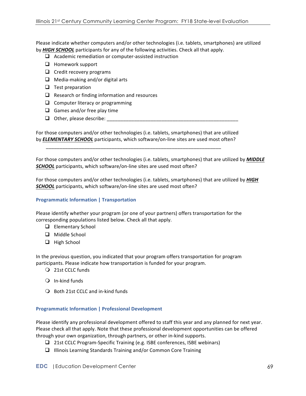Please indicate whether computers and/or other technologies (i.e. tablets, smartphones) are utilized by **HIGH SCHOOL** participants for any of the following activities. Check all that apply.

- $\Box$  Academic remediation or computer-assisted instruction
- $\Box$  Homework support
- $\Box$  Credit recovery programs
- $\Box$  Media-making and/or digital arts
- $\Box$  Test preparation
- $\Box$  Research or finding information and resources
- $\Box$  Computer literacy or programming
- $\Box$  Games and/or free play time
- $\Box$  Other, please describe:

For those computers and/or other technologies (i.e. tablets, smartphones) that are utilized by **ELEMENTARY SCHOOL** participants, which software/on-line sites are used most often?

\_\_\_\_\_\_\_\_\_\_\_\_\_\_\_\_\_\_\_\_\_\_\_\_\_\_\_\_\_\_\_\_\_\_\_\_\_\_\_\_\_\_\_\_\_\_\_\_\_\_\_\_\_\_\_\_\_\_\_\_\_\_\_\_

For those computers and/or other technologies (i.e. tablets, smartphones) that are utilized by **MIDDLE SCHOOL** participants, which software/on-line sites are used most often?

For those computers and/or other technologies (i.e. tablets, smartphones) that are utilized by **HIGH SCHOOL** participants, which software/on-line sites are used most often?

### **Programmatic Information | Transportation**

Please identify whether your program (or one of your partners) offers transportation for the corresponding populations listed below. Check all that apply.

- $\Box$  Elementary School
- $\Box$  Middle School
- □ High School

In the previous question, you indicated that your program offers transportation for program participants. Please indicate how transportation is funded for your program.

- O 21st CCLC funds
- $Q$  In-kind funds
- $\bigcirc$  Both 21st CCLC and in-kind funds

### **Programmatic Information | Professional Development**

Please identify any professional development offered to staff this year and any planned for next year. Please check all that apply. Note that these professional development opportunities can be offered through your own organization, through partners, or other in-kind supports.

- $\Box$  21st CCLC Program-Specific Training (e.g. ISBE conferences, ISBE webinars)
- $\Box$  Illinois Learning Standards Training and/or Common Core Training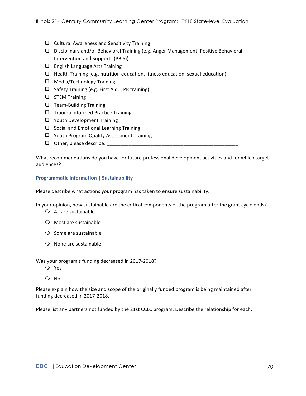- $\Box$  Cultural Awareness and Sensitivity Training
- $\Box$  Disciplinary and/or Behavioral Training (e.g. Anger Management, Positive Behavioral Intervention and Supports (PBIS))
- $\Box$  English Language Arts Training
- $\Box$  Health Training (e.g. nutrition education, fitness education, sexual education)
- $\Box$  Media/Technology Training
- $\Box$  Safety Training (e.g. First Aid, CPR training)
- $\Box$  STEM Training
- $\Box$  Team-Building Training
- $\Box$  Trauma Informed Practice Training
- $\Box$  Youth Development Training
- $\Box$  Social and Emotional Learning Training
- $\Box$  Youth Program Quality Assessment Training
- $\Box$  Other, please describe:

What recommendations do you have for future professional development activities and for which target audiences?

#### **Programmatic Information | Sustainability**

Please describe what actions your program has taken to ensure sustainability.

In your opinion, how sustainable are the critical components of the program after the grant cycle ends?

- $\bigcirc$  All are sustainable
- $\bigcirc$  Most are sustainable
- $\bigcirc$  Some are sustainable
- $\Omega$  None are sustainable

Was your program's funding decreased in 2017-2018?

- O Yes
- O No

Please explain how the size and scope of the originally funded program is being maintained after funding decreased in 2017-2018.

Please list any partners not funded by the 21st CCLC program. Describe the relationship for each.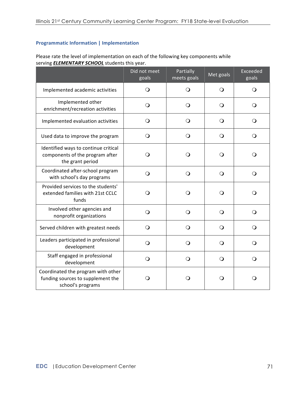### **Programmatic Information | Implementation**

Please rate the level of implementation on each of the following key components while serving **ELEMENTARY SCHOOL** students this year.

|                                                                                              | Did not meet<br>goals | Partially<br>meets goals | Met goals  | <b>Exceeded</b><br>goals |
|----------------------------------------------------------------------------------------------|-----------------------|--------------------------|------------|--------------------------|
| Implemented academic activities                                                              | $\Omega$              | $\mathsf{O}$             | $\Omega$   | O                        |
| Implemented other<br>enrichment/recreation activities                                        | $\bigcirc$            | $\bigcirc$               | $\circ$    | $\Omega$                 |
| Implemented evaluation activities                                                            | $\circ$               | $\mathsf{O}$             | $\Omega$   | $\Omega$                 |
| Used data to improve the program                                                             | O                     | $\Omega$                 | $\Omega$   | Q                        |
| Identified ways to continue critical<br>components of the program after<br>the grant period  | ○                     | $\Omega$                 | $\Omega$   | ○                        |
| Coordinated after-school program<br>with school's day programs                               | $\Omega$              | $\bigcirc$               | $\circ$    | Q                        |
| Provided services to the students'<br>extended families with 21st CCLC<br>funds              | O                     | $\circ$                  | Q          | ◯                        |
| Involved other agencies and<br>nonprofit organizations                                       | $\bigcirc$            | $\bigcirc$               | $\bigcirc$ | Q                        |
| Served children with greatest needs                                                          | Q                     | $\Omega$                 | $\Omega$   | O                        |
| Leaders participated in professional<br>development                                          | O                     | $\Omega$                 | $\Omega$   | O                        |
| Staff engaged in professional<br>development                                                 | $\Omega$              | $\Omega$                 | $\Omega$   | Ő                        |
| Coordinated the program with other<br>funding sources to supplement the<br>school's programs | O                     | $\Omega$                 | $\Omega$   | O                        |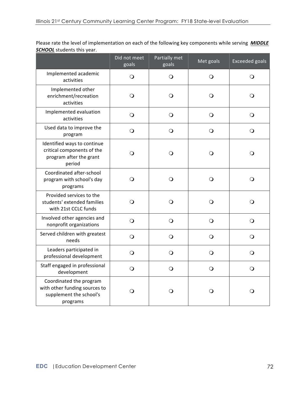Please rate the level of implementation on each of the following key components while serving **MIDDLE SCHOOL** students this year.

|                                                                                                 | Did not meet<br>goals | Partially met<br>goals | Met goals    | <b>Exceeded goals</b> |
|-------------------------------------------------------------------------------------------------|-----------------------|------------------------|--------------|-----------------------|
| Implemented academic<br>activities                                                              | O                     | O                      | $\bigcirc$   | $\bigcirc$            |
| Implemented other<br>enrichment/recreation<br>activities                                        | O                     | O                      | $\circ$      | O                     |
| Implemented evaluation<br>activities                                                            | $\bigcirc$            | $\bigcirc$             | $\bigcirc$   | $\bigcirc$            |
| Used data to improve the<br>program                                                             | $\Omega$              | O                      | $\bigcirc$   | $\circ$               |
| Identified ways to continue<br>critical components of the<br>program after the grant<br>period  | $\mathsf{O}$          | $\Omega$               | $\bigcirc$   | $\mathsf{O}$          |
| Coordinated after-school<br>program with school's day<br>programs                               | $\Omega$              | $\circ$                | $\circ$      | $\circ$               |
| Provided services to the<br>students' extended families<br>with 21st CCLC funds                 | O                     | O                      | $\mathsf{O}$ | O                     |
| Involved other agencies and<br>nonprofit organizations                                          | $\bigcirc$            | $\bigcirc$             | $\bigcirc$   | $\bigcirc$            |
| Served children with greatest<br>needs                                                          | $\bigcirc$            | $\bigcirc$             | $\bigcirc$   | $\bigcirc$            |
| Leaders participated in<br>professional development                                             | O                     | $\circ$                | $\circ$      | $\circ$               |
| Staff engaged in professional<br>development                                                    | $\bigcirc$            | $\bigcirc$             | $\bigcirc$   | $\bigcirc$            |
| Coordinated the program<br>with other funding sources to<br>supplement the school's<br>programs | O                     | O                      | $\mathsf{O}$ | O                     |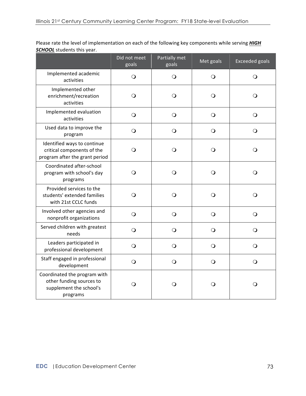Please rate the level of implementation on each of the following key components while serving *HIGH* **SCHOOL** students this year.

|                                                                                                 | Did not meet<br>goals | Partially met<br>goals | Met goals  | <b>Exceeded goals</b> |
|-------------------------------------------------------------------------------------------------|-----------------------|------------------------|------------|-----------------------|
| Implemented academic<br>activities                                                              | $\bigcirc$            | $\bigcirc$             | $\Omega$   | $\bigcirc$            |
| Implemented other<br>enrichment/recreation<br>activities                                        | $\circ$               | $\bigcirc$             | $\bigcirc$ | $\Omega$              |
| Implemented evaluation<br>activities                                                            | $\bigcirc$            | $\bigcirc$             | $\bigcirc$ | $\bigcirc$            |
| Used data to improve the<br>program                                                             | $\bigcirc$            | $\circ$                | $\circ$    | $\bigcirc$            |
| Identified ways to continue<br>critical components of the<br>program after the grant period     | $\bigcirc$            | $\bigcirc$             | $\bigcirc$ | $\Omega$              |
| Coordinated after-school<br>program with school's day<br>programs                               | $\bigcirc$            | $\Omega$               | $\Omega$   | $\Omega$              |
| Provided services to the<br>students' extended families<br>with 21st CCLC funds                 | $\bigcirc$            | $\Omega$               | $\bigcirc$ | $\Omega$              |
| Involved other agencies and<br>nonprofit organizations                                          | $\bigcirc$            | $\bigcirc$             | $\Omega$   | $\Omega$              |
| Served children with greatest<br>needs                                                          | $\bigcirc$            | $\bigcirc$             | $\bigcirc$ | $\bigcirc$            |
| Leaders participated in<br>professional development                                             | $\bigcirc$            | $\bigcirc$             | $\bigcirc$ | $\bigcirc$            |
| Staff engaged in professional<br>development                                                    | $\bigcirc$            | $\bigcirc$             | $\bigcirc$ | $\bigcirc$            |
| Coordinated the program with<br>other funding sources to<br>supplement the school's<br>programs | O                     | Q                      | Q          | Q                     |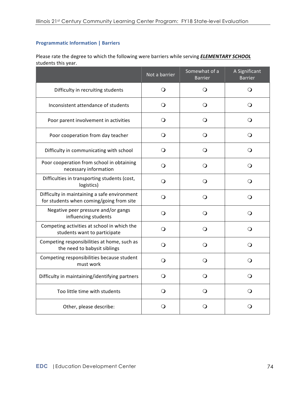## **Programmatic Information | Barriers**

Please rate the degree to which the following were barriers while serving **ELEMENTARY SCHOOL** students this year.

|                                                                                          | Not a barrier | Somewhat of a<br><b>Barrier</b> | A Significant<br><b>Barrier</b> |
|------------------------------------------------------------------------------------------|---------------|---------------------------------|---------------------------------|
| Difficulty in recruiting students                                                        | $\bigcirc$    | $\circ$                         | $\bigcirc$                      |
| Inconsistent attendance of students                                                      | $\Omega$      | $\bigcirc$                      | O                               |
| Poor parent involvement in activities                                                    | $\circ$       | O                               | O                               |
| Poor cooperation from day teacher                                                        | $\circ$       | $\circ$                         | $\circ$                         |
| Difficulty in communicating with school                                                  | $\circ$       | $\circ$                         | O                               |
| Poor cooperation from school in obtaining<br>necessary information                       | $\Omega$      | O                               | $\Omega$                        |
| Difficulties in transporting students (cost,<br>logistics)                               | $\Omega$      | $\circ$                         | O                               |
| Difficulty in maintaining a safe environment<br>for students when coming/going from site | $\Omega$      | $\mathsf{O}$                    | O                               |
| Negative peer pressure and/or gangs<br>influencing students                              | $\Omega$      | O                               | O                               |
| Competing activities at school in which the<br>students want to participate              | $\bigcirc$    | $\mathsf{O}$                    | O                               |
| Competing responsibilities at home, such as<br>the need to babysit siblings              | $\Omega$      | O                               | $\Omega$                        |
| Competing responsibilities because student<br>must work                                  | $\circ$       | $\Omega$                        | $\Omega$                        |
| Difficulty in maintaining/identifying partners                                           | $\Omega$      | O                               | $\Omega$                        |
| Too little time with students                                                            | $\circ$       | O                               | O                               |
| Other, please describe:                                                                  | O             | O                               | O                               |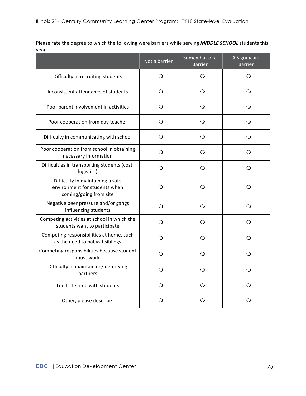Please rate the degree to which the following were barriers while serving **MIDDLE SCHOOL** students this year.

|                                                                                             | Not a barrier | Somewhat of a<br><b>Barrier</b> | A Significant<br><b>Barrier</b> |
|---------------------------------------------------------------------------------------------|---------------|---------------------------------|---------------------------------|
| Difficulty in recruiting students                                                           | $\bigcirc$    | $\bigcirc$                      | O                               |
| Inconsistent attendance of students                                                         | $\circ$       | $\circ$                         | $\circ$                         |
| Poor parent involvement in activities                                                       | $\Omega$      | $\Omega$                        | O                               |
| Poor cooperation from day teacher                                                           | $\circ$       | $\Omega$                        | $\Omega$                        |
| Difficulty in communicating with school                                                     | $\circ$       | $\circ$                         | $\circ$                         |
| Poor cooperation from school in obtaining<br>necessary information                          | $\circ$       | $\circ$                         | $\circ$                         |
| Difficulties in transporting students (cost,<br>logistics)                                  | O             | O                               | O                               |
| Difficulty in maintaining a safe<br>environment for students when<br>coming/going from site | O             | O                               | O                               |
| Negative peer pressure and/or gangs<br>influencing students                                 | $\mathsf{O}$  | O                               | O                               |
| Competing activities at school in which the<br>students want to participate                 | $\mathsf{O}$  | $\Omega$                        | O                               |
| Competing responsibilities at home, such<br>as the need to babysit siblings                 | $\bigcirc$    | $\circ$                         | O                               |
| Competing responsibilities because student<br>must work                                     | $\Omega$      | O                               | O                               |
| Difficulty in maintaining/identifying<br>partners                                           | O             | $\Omega$                        | $\Omega$                        |
| Too little time with students                                                               | $\Omega$      | O                               | O                               |
| Other, please describe:                                                                     | $\circ$       | Ő                               | Ő                               |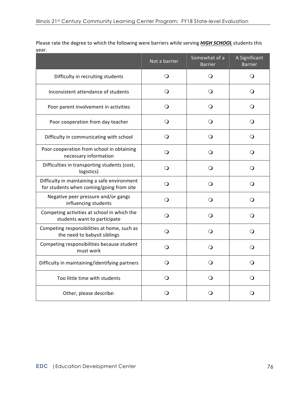Please rate the degree to which the following were barriers while serving **HIGH SCHOOL** students this year.

|                                                                                          | Not a barrier | Somewhat of a<br><b>Barrier</b> | A Significant<br><b>Barrier</b> |
|------------------------------------------------------------------------------------------|---------------|---------------------------------|---------------------------------|
| Difficulty in recruiting students                                                        | Q             | Q                               | O                               |
| Inconsistent attendance of students                                                      | O             | O                               | O                               |
| Poor parent involvement in activities                                                    | O             | O                               | O                               |
| Poor cooperation from day teacher                                                        | $\bigcirc$    | $\Omega$                        | $\bigcirc$                      |
| Difficulty in communicating with school                                                  | $\Omega$      | Q                               | $\Omega$                        |
| Poor cooperation from school in obtaining<br>necessary information                       | O             | Q                               | $\Omega$                        |
| Difficulties in transporting students (cost,<br>logistics)                               | $\Omega$      | $\Omega$                        | $\Omega$                        |
| Difficulty in maintaining a safe environment<br>for students when coming/going from site | O             | $\Omega$                        | $\Omega$                        |
| Negative peer pressure and/or gangs<br>influencing students                              | $\Omega$      | $\Omega$                        | $\Omega$                        |
| Competing activities at school in which the<br>students want to participate              | $\Omega$      | Q                               | $\Omega$                        |
| Competing responsibilities at home, such as<br>the need to babysit siblings              | O             | ∩                               | $\Omega$                        |
| Competing responsibilities because student<br>must work                                  | O             | O                               | $\circ$                         |
| Difficulty in maintaining/identifying partners                                           | O             | Q                               | Q                               |
| Too little time with students                                                            | $\Omega$      | O                               | $\circ$                         |
| Other, please describe:                                                                  | O             | O                               | O                               |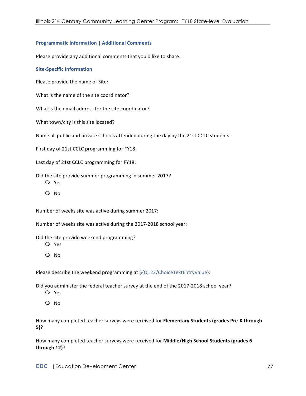## **Programmatic Information | Additional Comments**

Please provide any additional comments that you'd like to share.

## **Site-Specific Information**

Please provide the name of Site:

What is the name of the site coordinator?

What is the email address for the site coordinator?

What town/city is this site located?

Name all public and private schools attended during the day by the 21st CCLC students.

First day of 21st CCLC programming for FY18:

Last day of 21st CCLC programming for FY18:

Did the site provide summer programming in summer 2017?

- O Yes
- $O$  No

Number of weeks site was active during summer 2017:

Number of weeks site was active during the 2017-2018 school year:

Did the site provide weekend programming?

- O Yes
- $O$  No

Please describe the weekend programming at  $${Q122/ChoiceTextEntryValue}:$ 

Did you administer the federal teacher survey at the end of the 2017-2018 school year?

- Q Yes
- O No

How many completed teacher surveys were received for **Elementary Students (grades Pre-K through 5)**?

How many completed teacher surveys were received for Middle/High School Students (grades 6 **through 12)**?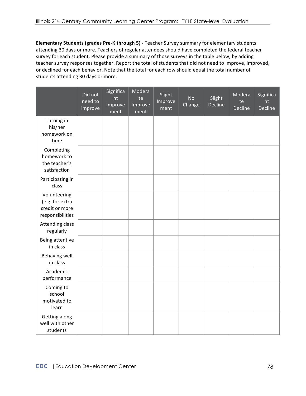**Elementary Students (grades Pre-K through 5)** - Teacher Survey summary for elementary students attending 30 days or more. Teachers of regular attendees should have completed the federal teacher survey for each student. Please provide a summary of those surveys in the table below, by adding teacher survey responses together. Report the total of students that did not need to improve, improved, or declined for each behavior. Note that the total for each row should equal the total number of students attending 30 days or more.

|                                                                       | Did not<br>need to<br>improve | Significa<br>nt<br>Improve<br>ment | Modera<br>te<br>Improve<br>ment | Slight<br>Improve<br>ment | <b>No</b><br>Change | Slight<br>Decline | Modera<br>te<br>Decline | Significa<br>nt<br>Decline |
|-----------------------------------------------------------------------|-------------------------------|------------------------------------|---------------------------------|---------------------------|---------------------|-------------------|-------------------------|----------------------------|
| Turning in<br>his/her<br>homework on<br>time                          |                               |                                    |                                 |                           |                     |                   |                         |                            |
| Completing<br>homework to<br>the teacher's<br>satisfaction            |                               |                                    |                                 |                           |                     |                   |                         |                            |
| Participating in<br>class                                             |                               |                                    |                                 |                           |                     |                   |                         |                            |
| Volunteering<br>(e.g. for extra<br>credit or more<br>responsibilities |                               |                                    |                                 |                           |                     |                   |                         |                            |
| <b>Attending class</b><br>regularly                                   |                               |                                    |                                 |                           |                     |                   |                         |                            |
| Being attentive<br>in class                                           |                               |                                    |                                 |                           |                     |                   |                         |                            |
| <b>Behaving well</b><br>in class                                      |                               |                                    |                                 |                           |                     |                   |                         |                            |
| Academic<br>performance                                               |                               |                                    |                                 |                           |                     |                   |                         |                            |
| Coming to<br>school<br>motivated to<br>learn                          |                               |                                    |                                 |                           |                     |                   |                         |                            |
| Getting along<br>well with other<br>students                          |                               |                                    |                                 |                           |                     |                   |                         |                            |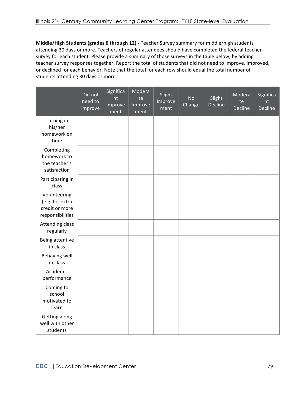Middle/High Students (grades 6 through 12) - Teacher Survey summary for middle/high students attending 30 days or more. Teachers of regular attendees should have completed the federal teacher survey for each student. Please provide a summary of those surveys in the table below, by adding teacher survey responses together. Report the total of students that did not need to improve, improved, or declined for each behavior. Note that the total for each row should equal the total number of students attending 30 days or more.

|                                                                       | Did not<br>need to<br>improve | Significa<br>nt<br>Improve<br>ment | Modera<br>te<br>Improve<br>ment | Slight<br>Improve<br>ment | <b>No</b><br>Change | Slight<br>Decline | Modera<br>te<br>Decline | Significa<br>nt<br>Decline |
|-----------------------------------------------------------------------|-------------------------------|------------------------------------|---------------------------------|---------------------------|---------------------|-------------------|-------------------------|----------------------------|
| Turning in<br>his/her<br>homework on<br>time                          |                               |                                    |                                 |                           |                     |                   |                         |                            |
| Completing<br>homework to<br>the teacher's<br>satisfaction            |                               |                                    |                                 |                           |                     |                   |                         |                            |
| Participating in<br>class                                             |                               |                                    |                                 |                           |                     |                   |                         |                            |
| Volunteering<br>(e.g. for extra<br>credit or more<br>responsibilities |                               |                                    |                                 |                           |                     |                   |                         |                            |
| <b>Attending class</b><br>regularly                                   |                               |                                    |                                 |                           |                     |                   |                         |                            |
| Being attentive<br>in class                                           |                               |                                    |                                 |                           |                     |                   |                         |                            |
| Behaving well<br>in class                                             |                               |                                    |                                 |                           |                     |                   |                         |                            |
| Academic<br>performance                                               |                               |                                    |                                 |                           |                     |                   |                         |                            |
| Coming to<br>school<br>motivated to<br>learn                          |                               |                                    |                                 |                           |                     |                   |                         |                            |
| Getting along<br>well with other<br>students                          |                               |                                    |                                 |                           |                     |                   |                         |                            |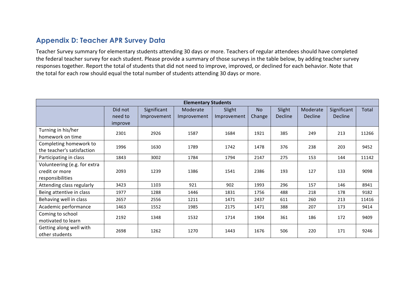## **Appendix D: Teacher APR Survey Data**

Teacher Survey summary for elementary students attending 30 days or more. Teachers of regular attendees should have completed the federal teacher survey for each student. Please provide a summary of those surveys in the table below, by adding teacher survey responses together. Report the total of students that did not need to improve, improved, or declined for each behavior. Note that the total for each row should equal the total number of students attending 30 days or more.

| <b>Elementary Students</b>                                         |                               |                            |                         |                       |                     |                   |                            |                               |       |
|--------------------------------------------------------------------|-------------------------------|----------------------------|-------------------------|-----------------------|---------------------|-------------------|----------------------------|-------------------------------|-------|
|                                                                    | Did not<br>need to<br>improve | Significant<br>Improvement | Moderate<br>Improvement | Slight<br>Improvement | <b>No</b><br>Change | Slight<br>Decline | Moderate<br><b>Decline</b> | Significant<br><b>Decline</b> | Total |
| Turning in his/her<br>homework on time                             | 2301                          | 2926                       | 1587                    | 1684                  | 1921                | 385               | 249                        | 213                           | 11266 |
| Completing homework to<br>the teacher's satisfaction               | 1996                          | 1630                       | 1789                    | 1742                  | 1478                | 376               | 238                        | 203                           | 9452  |
| Participating in class                                             | 1843                          | 3002                       | 1784                    | 1794                  | 2147                | 275               | 153                        | 144                           | 11142 |
| Volunteering (e.g. for extra<br>credit or more<br>responsibilities | 2093                          | 1239                       | 1386                    | 1541                  | 2386                | 193               | 127                        | 133                           | 9098  |
| Attending class regularly                                          | 3423                          | 1103                       | 921                     | 902                   | 1993                | 296               | 157                        | 146                           | 8941  |
| Being attentive in class                                           | 1977                          | 1288                       | 1446                    | 1831                  | 1756                | 488               | 218                        | 178                           | 9182  |
| Behaving well in class                                             | 2657                          | 2556                       | 1211                    | 1471                  | 2437                | 611               | 260                        | 213                           | 11416 |
| Academic performance                                               | 1463                          | 1552                       | 1985                    | 2175                  | 1471                | 388               | 207                        | 173                           | 9414  |
| Coming to school<br>motivated to learn                             | 2192                          | 1348                       | 1532                    | 1714                  | 1904                | 361               | 186                        | 172                           | 9409  |
| Getting along well with<br>other students                          | 2698                          | 1262                       | 1270                    | 1443                  | 1676                | 506               | 220                        | 171                           | 9246  |